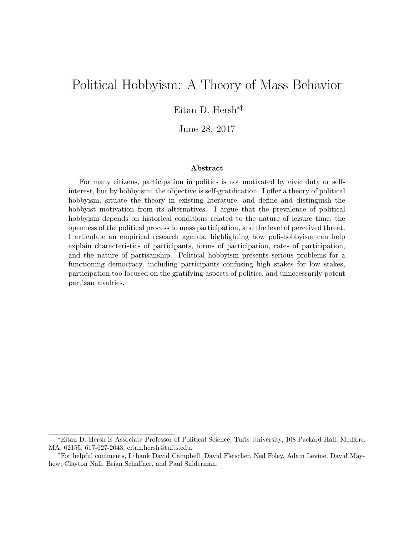# Political Hobbyism: A Theory of Mass Behavior

Eitan D. Hersh∗†

June 28, 2017

#### Abstract

For many citizens, participation in politics is not motivated by civic duty or selfinterest, but by hobbyism: the objective is self-gratification. I offer a theory of political hobbyism, situate the theory in existing literature, and define and distinguish the hobbyist motivation from its alternatives. I argue that the prevalence of political hobbyism depends on historical conditions related to the nature of leisure time, the openness of the political process to mass participation, and the level of perceived threat. I articulate an empirical research agenda, highlighting how poli-hobbyism can help explain characteristics of participants, forms of participation, rates of participation, and the nature of partisanship. Political hobbyism presents serious problems for a functioning democracy, including participants confusing high stakes for low stakes, participation too focused on the gratifying aspects of politics, and unnecessarily potent partisan rivalries.

<sup>∗</sup>Eitan D. Hersh is Associate Professor of Political Science, Tufts University, 108 Packard Hall, Medford MA, 02155, 617-627-2043, eitan.hersh@tufts.edu.

<sup>†</sup>For helpful comments, I thank David Campbell, David Fleischer, Ned Foley, Adam Levine, David Mayhew, Clayton Nall, Brian Schaffner, and Paul Sniderman.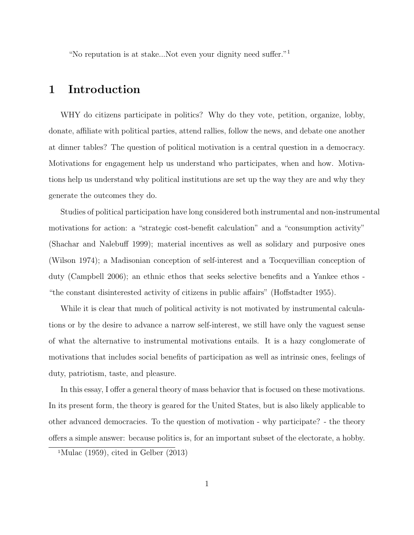"No reputation is at stake...Not even your dignity need suffer."<sup>1</sup>

### 1 Introduction

WHY do citizens participate in politics? Why do they vote, petition, organize, lobby, donate, affiliate with political parties, attend rallies, follow the news, and debate one another at dinner tables? The question of political motivation is a central question in a democracy. Motivations for engagement help us understand who participates, when and how. Motivations help us understand why political institutions are set up the way they are and why they generate the outcomes they do.

Studies of political participation have long considered both instrumental and non-instrumental motivations for action: a "strategic cost-benefit calculation" and a "consumption activity" (Shachar and Nalebuff 1999); material incentives as well as solidary and purposive ones (Wilson 1974); a Madisonian conception of self-interest and a Tocquevillian conception of duty (Campbell 2006); an ethnic ethos that seeks selective benefits and a Yankee ethos - "the constant disinterested activity of citizens in public affairs" (Hoffstadter 1955).

While it is clear that much of political activity is not motivated by instrumental calculations or by the desire to advance a narrow self-interest, we still have only the vaguest sense of what the alternative to instrumental motivations entails. It is a hazy conglomerate of motivations that includes social benefits of participation as well as intrinsic ones, feelings of duty, patriotism, taste, and pleasure.

In this essay, I offer a general theory of mass behavior that is focused on these motivations. In its present form, the theory is geared for the United States, but is also likely applicable to other advanced democracies. To the question of motivation - why participate? - the theory offers a simple answer: because politics is, for an important subset of the electorate, a hobby.

<sup>&</sup>lt;sup>1</sup>Mulac (1959), cited in Gelber  $(2013)$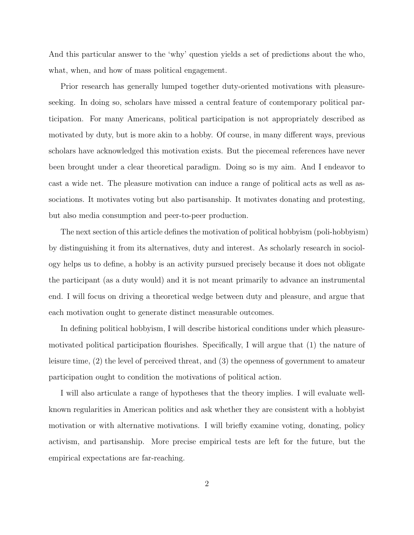And this particular answer to the 'why' question yields a set of predictions about the who, what, when, and how of mass political engagement.

Prior research has generally lumped together duty-oriented motivations with pleasureseeking. In doing so, scholars have missed a central feature of contemporary political participation. For many Americans, political participation is not appropriately described as motivated by duty, but is more akin to a hobby. Of course, in many different ways, previous scholars have acknowledged this motivation exists. But the piecemeal references have never been brought under a clear theoretical paradigm. Doing so is my aim. And I endeavor to cast a wide net. The pleasure motivation can induce a range of political acts as well as associations. It motivates voting but also partisanship. It motivates donating and protesting, but also media consumption and peer-to-peer production.

The next section of this article defines the motivation of political hobbyism (poli-hobbyism) by distinguishing it from its alternatives, duty and interest. As scholarly research in sociology helps us to define, a hobby is an activity pursued precisely because it does not obligate the participant (as a duty would) and it is not meant primarily to advance an instrumental end. I will focus on driving a theoretical wedge between duty and pleasure, and argue that each motivation ought to generate distinct measurable outcomes.

In defining political hobbyism, I will describe historical conditions under which pleasuremotivated political participation flourishes. Specifically, I will argue that (1) the nature of leisure time, (2) the level of perceived threat, and (3) the openness of government to amateur participation ought to condition the motivations of political action.

I will also articulate a range of hypotheses that the theory implies. I will evaluate wellknown regularities in American politics and ask whether they are consistent with a hobbyist motivation or with alternative motivations. I will briefly examine voting, donating, policy activism, and partisanship. More precise empirical tests are left for the future, but the empirical expectations are far-reaching.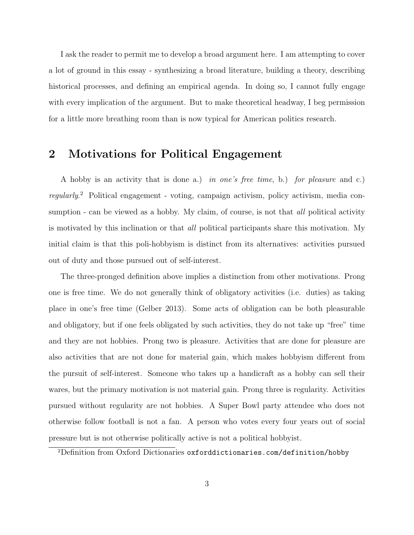I ask the reader to permit me to develop a broad argument here. I am attempting to cover a lot of ground in this essay - synthesizing a broad literature, building a theory, describing historical processes, and defining an empirical agenda. In doing so, I cannot fully engage with every implication of the argument. But to make theoretical headway, I beg permission for a little more breathing room than is now typical for American politics research.

## 2 Motivations for Political Engagement

A hobby is an activity that is done a.) in one's free time, b.) for pleasure and c.) regularly.<sup>2</sup> Political engagement - voting, campaign activism, policy activism, media consumption - can be viewed as a hobby. My claim, of course, is not that *all* political activity is motivated by this inclination or that all political participants share this motivation. My initial claim is that this poli-hobbyism is distinct from its alternatives: activities pursued out of duty and those pursued out of self-interest.

The three-pronged definition above implies a distinction from other motivations. Prong one is free time. We do not generally think of obligatory activities (i.e. duties) as taking place in one's free time (Gelber 2013). Some acts of obligation can be both pleasurable and obligatory, but if one feels obligated by such activities, they do not take up "free" time and they are not hobbies. Prong two is pleasure. Activities that are done for pleasure are also activities that are not done for material gain, which makes hobbyism different from the pursuit of self-interest. Someone who takes up a handicraft as a hobby can sell their wares, but the primary motivation is not material gain. Prong three is regularity. Activities pursued without regularity are not hobbies. A Super Bowl party attendee who does not otherwise follow football is not a fan. A person who votes every four years out of social pressure but is not otherwise politically active is not a political hobbyist.

<sup>2</sup>Definition from Oxford Dictionaries oxforddictionaries.com/definition/hobby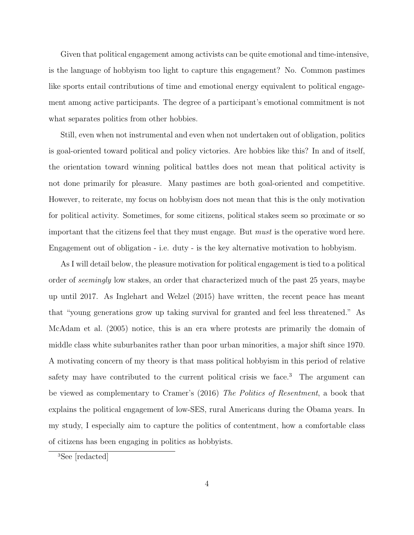Given that political engagement among activists can be quite emotional and time-intensive, is the language of hobbyism too light to capture this engagement? No. Common pastimes like sports entail contributions of time and emotional energy equivalent to political engagement among active participants. The degree of a participant's emotional commitment is not what separates politics from other hobbies.

Still, even when not instrumental and even when not undertaken out of obligation, politics is goal-oriented toward political and policy victories. Are hobbies like this? In and of itself, the orientation toward winning political battles does not mean that political activity is not done primarily for pleasure. Many pastimes are both goal-oriented and competitive. However, to reiterate, my focus on hobbyism does not mean that this is the only motivation for political activity. Sometimes, for some citizens, political stakes seem so proximate or so important that the citizens feel that they must engage. But must is the operative word here. Engagement out of obligation - i.e. duty - is the key alternative motivation to hobbyism.

As I will detail below, the pleasure motivation for political engagement is tied to a political order of seemingly low stakes, an order that characterized much of the past 25 years, maybe up until 2017. As Inglehart and Welzel (2015) have written, the recent peace has meant that "young generations grow up taking survival for granted and feel less threatened." As McAdam et al. (2005) notice, this is an era where protests are primarily the domain of middle class white suburbanites rather than poor urban minorities, a major shift since 1970. A motivating concern of my theory is that mass political hobbyism in this period of relative safety may have contributed to the current political crisis we face.<sup>3</sup> The argument can be viewed as complementary to Cramer's (2016) The Politics of Resentment, a book that explains the political engagement of low-SES, rural Americans during the Obama years. In my study, I especially aim to capture the politics of contentment, how a comfortable class of citizens has been engaging in politics as hobbyists.

<sup>3</sup>See [redacted]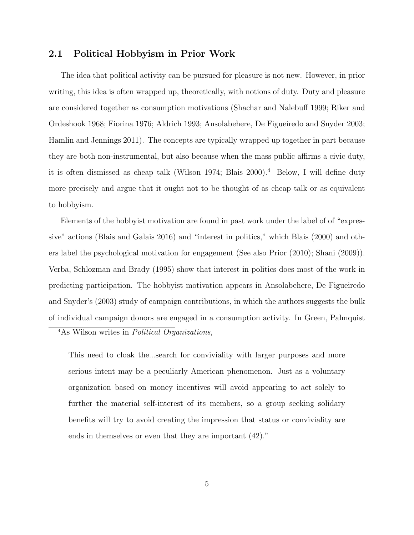#### 2.1 Political Hobbyism in Prior Work

The idea that political activity can be pursued for pleasure is not new. However, in prior writing, this idea is often wrapped up, theoretically, with notions of duty. Duty and pleasure are considered together as consumption motivations (Shachar and Nalebuff 1999; Riker and Ordeshook 1968; Fiorina 1976; Aldrich 1993; Ansolabehere, De Figueiredo and Snyder 2003; Hamlin and Jennings 2011). The concepts are typically wrapped up together in part because they are both non-instrumental, but also because when the mass public affirms a civic duty, it is often dismissed as cheap talk (Wilson 1974; Blais 2000).<sup>4</sup> Below, I will define duty more precisely and argue that it ought not to be thought of as cheap talk or as equivalent to hobbyism.

Elements of the hobbyist motivation are found in past work under the label of of "expressive" actions (Blais and Galais 2016) and "interest in politics," which Blais (2000) and others label the psychological motivation for engagement (See also Prior (2010); Shani (2009)). Verba, Schlozman and Brady (1995) show that interest in politics does most of the work in predicting participation. The hobbyist motivation appears in Ansolabehere, De Figueiredo and Snyder's (2003) study of campaign contributions, in which the authors suggests the bulk of individual campaign donors are engaged in a consumption activity. In Green, Palmquist

<sup>4</sup>As Wilson writes in Political Organizations,

This need to cloak the...search for conviviality with larger purposes and more serious intent may be a peculiarly American phenomenon. Just as a voluntary organization based on money incentives will avoid appearing to act solely to further the material self-interest of its members, so a group seeking solidary benefits will try to avoid creating the impression that status or conviviality are ends in themselves or even that they are important (42)."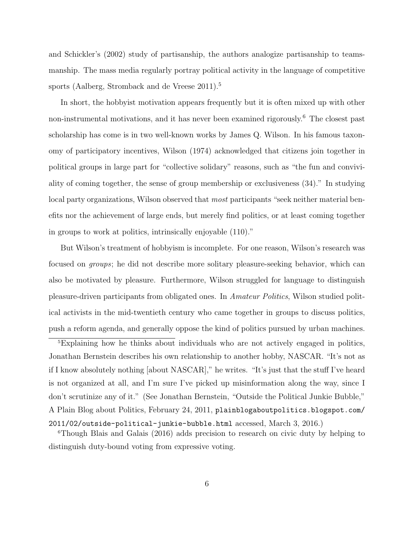and Schickler's (2002) study of partisanship, the authors analogize partisanship to teamsmanship. The mass media regularly portray political activity in the language of competitive sports (Aalberg, Stromback and de Vreese 2011).<sup>5</sup>

In short, the hobbyist motivation appears frequently but it is often mixed up with other non-instrumental motivations, and it has never been examined rigorously.<sup>6</sup> The closest past scholarship has come is in two well-known works by James Q. Wilson. In his famous taxonomy of participatory incentives, Wilson (1974) acknowledged that citizens join together in political groups in large part for "collective solidary" reasons, such as "the fun and conviviality of coming together, the sense of group membership or exclusiveness (34)." In studying local party organizations, Wilson observed that *most* participants "seek neither material benefits nor the achievement of large ends, but merely find politics, or at least coming together in groups to work at politics, intrinsically enjoyable (110)."

But Wilson's treatment of hobbyism is incomplete. For one reason, Wilson's research was focused on groups; he did not describe more solitary pleasure-seeking behavior, which can also be motivated by pleasure. Furthermore, Wilson struggled for language to distinguish pleasure-driven participants from obligated ones. In Amateur Politics, Wilson studied political activists in the mid-twentieth century who came together in groups to discuss politics, push a reform agenda, and generally oppose the kind of politics pursued by urban machines.

<sup>5</sup>Explaining how he thinks about individuals who are not actively engaged in politics, Jonathan Bernstein describes his own relationship to another hobby, NASCAR. "It's not as if I know absolutely nothing [about NASCAR]," he writes. "It's just that the stuff I've heard is not organized at all, and I'm sure I've picked up misinformation along the way, since I don't scrutinize any of it." (See Jonathan Bernstein, "Outside the Political Junkie Bubble," A Plain Blog about Politics, February 24, 2011, plainblogaboutpolitics.blogspot.com/ 2011/02/outside-political-junkie-bubble.html accessed, March 3, 2016.)

<sup>6</sup>Though Blais and Galais (2016) adds precision to research on civic duty by helping to distinguish duty-bound voting from expressive voting.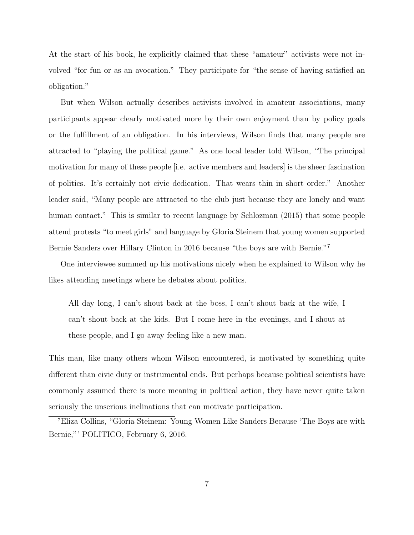At the start of his book, he explicitly claimed that these "amateur" activists were not involved "for fun or as an avocation." They participate for "the sense of having satisfied an obligation."

But when Wilson actually describes activists involved in amateur associations, many participants appear clearly motivated more by their own enjoyment than by policy goals or the fulfillment of an obligation. In his interviews, Wilson finds that many people are attracted to "playing the political game." As one local leader told Wilson, "The principal motivation for many of these people [i.e. active members and leaders] is the sheer fascination of politics. It's certainly not civic dedication. That wears thin in short order." Another leader said, "Many people are attracted to the club just because they are lonely and want human contact." This is similar to recent language by Schlozman (2015) that some people attend protests "to meet girls" and language by Gloria Steinem that young women supported Bernie Sanders over Hillary Clinton in 2016 because "the boys are with Bernie."<sup>7</sup>

One interviewee summed up his motivations nicely when he explained to Wilson why he likes attending meetings where he debates about politics.

All day long, I can't shout back at the boss, I can't shout back at the wife, I can't shout back at the kids. But I come here in the evenings, and I shout at these people, and I go away feeling like a new man.

This man, like many others whom Wilson encountered, is motivated by something quite different than civic duty or instrumental ends. But perhaps because political scientists have commonly assumed there is more meaning in political action, they have never quite taken seriously the unserious inclinations that can motivate participation.

<sup>7</sup>Eliza Collins, "Gloria Steinem: Young Women Like Sanders Because 'The Boys are with Bernie,"' POLITICO, February 6, 2016.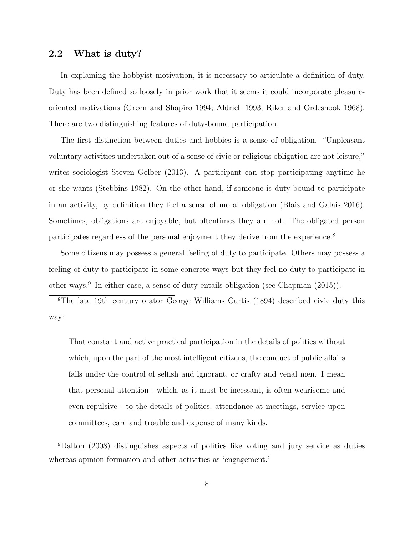#### 2.2 What is duty?

In explaining the hobbyist motivation, it is necessary to articulate a definition of duty. Duty has been defined so loosely in prior work that it seems it could incorporate pleasureoriented motivations (Green and Shapiro 1994; Aldrich 1993; Riker and Ordeshook 1968). There are two distinguishing features of duty-bound participation.

The first distinction between duties and hobbies is a sense of obligation. "Unpleasant voluntary activities undertaken out of a sense of civic or religious obligation are not leisure," writes sociologist Steven Gelber (2013). A participant can stop participating anytime he or she wants (Stebbins 1982). On the other hand, if someone is duty-bound to participate in an activity, by definition they feel a sense of moral obligation (Blais and Galais 2016). Sometimes, obligations are enjoyable, but oftentimes they are not. The obligated person participates regardless of the personal enjoyment they derive from the experience.<sup>8</sup>

Some citizens may possess a general feeling of duty to participate. Others may possess a feeling of duty to participate in some concrete ways but they feel no duty to participate in other ways.<sup>9</sup> In either case, a sense of duty entails obligation (see Chapman (2015)).

<sup>8</sup>The late 19th century orator George Williams Curtis (1894) described civic duty this way:

That constant and active practical participation in the details of politics without which, upon the part of the most intelligent citizens, the conduct of public affairs falls under the control of selfish and ignorant, or crafty and venal men. I mean that personal attention - which, as it must be incessant, is often wearisome and even repulsive - to the details of politics, attendance at meetings, service upon committees, care and trouble and expense of many kinds.

<sup>9</sup>Dalton (2008) distinguishes aspects of politics like voting and jury service as duties whereas opinion formation and other activities as 'engagement.'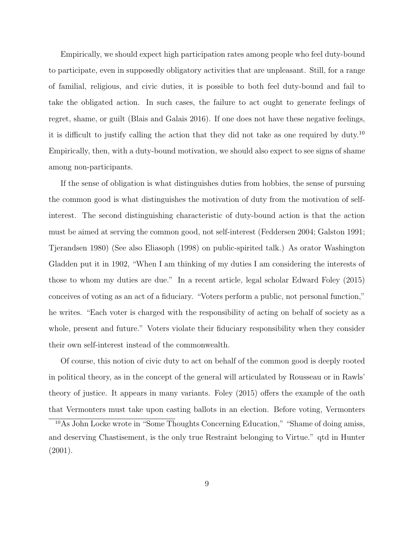Empirically, we should expect high participation rates among people who feel duty-bound to participate, even in supposedly obligatory activities that are unpleasant. Still, for a range of familial, religious, and civic duties, it is possible to both feel duty-bound and fail to take the obligated action. In such cases, the failure to act ought to generate feelings of regret, shame, or guilt (Blais and Galais 2016). If one does not have these negative feelings, it is difficult to justify calling the action that they did not take as one required by duty.<sup>10</sup> Empirically, then, with a duty-bound motivation, we should also expect to see signs of shame among non-participants.

If the sense of obligation is what distinguishes duties from hobbies, the sense of pursuing the common good is what distinguishes the motivation of duty from the motivation of selfinterest. The second distinguishing characteristic of duty-bound action is that the action must be aimed at serving the common good, not self-interest (Feddersen 2004; Galston 1991; Tjerandsen 1980) (See also Eliasoph (1998) on public-spirited talk.) As orator Washington Gladden put it in 1902, "When I am thinking of my duties I am considering the interests of those to whom my duties are due." In a recent article, legal scholar Edward Foley (2015) conceives of voting as an act of a fiduciary. "Voters perform a public, not personal function," he writes. "Each voter is charged with the responsibility of acting on behalf of society as a whole, present and future." Voters violate their fiduciary responsibility when they consider their own self-interest instead of the commonwealth.

Of course, this notion of civic duty to act on behalf of the common good is deeply rooted in political theory, as in the concept of the general will articulated by Rousseau or in Rawls' theory of justice. It appears in many variants. Foley (2015) offers the example of the oath that Vermonters must take upon casting ballots in an election. Before voting, Vermonters

<sup>&</sup>lt;sup>10</sup>As John Locke wrote in "Some Thoughts Concerning Education," "Shame of doing amiss, and deserving Chastisement, is the only true Restraint belonging to Virtue." qtd in Hunter (2001).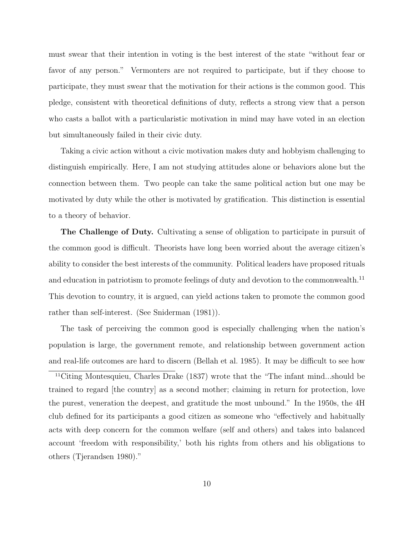must swear that their intention in voting is the best interest of the state "without fear or favor of any person." Vermonters are not required to participate, but if they choose to participate, they must swear that the motivation for their actions is the common good. This pledge, consistent with theoretical definitions of duty, reflects a strong view that a person who casts a ballot with a particularistic motivation in mind may have voted in an election but simultaneously failed in their civic duty.

Taking a civic action without a civic motivation makes duty and hobbyism challenging to distinguish empirically. Here, I am not studying attitudes alone or behaviors alone but the connection between them. Two people can take the same political action but one may be motivated by duty while the other is motivated by gratification. This distinction is essential to a theory of behavior.

The Challenge of Duty. Cultivating a sense of obligation to participate in pursuit of the common good is difficult. Theorists have long been worried about the average citizen's ability to consider the best interests of the community. Political leaders have proposed rituals and education in patriotism to promote feelings of duty and devotion to the commonwealth.<sup>11</sup> This devotion to country, it is argued, can yield actions taken to promote the common good rather than self-interest. (See Sniderman (1981)).

The task of perceiving the common good is especially challenging when the nation's population is large, the government remote, and relationship between government action and real-life outcomes are hard to discern (Bellah et al. 1985). It may be difficult to see how

<sup>11</sup>Citing Montesquieu, Charles Drake (1837) wrote that the "The infant mind...should be trained to regard [the country] as a second mother; claiming in return for protection, love the purest, veneration the deepest, and gratitude the most unbound." In the 1950s, the 4H club defined for its participants a good citizen as someone who "effectively and habitually acts with deep concern for the common welfare (self and others) and takes into balanced account 'freedom with responsibility,' both his rights from others and his obligations to others (Tjerandsen 1980)."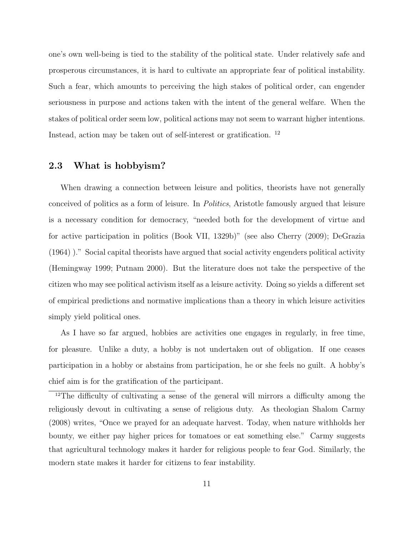one's own well-being is tied to the stability of the political state. Under relatively safe and prosperous circumstances, it is hard to cultivate an appropriate fear of political instability. Such a fear, which amounts to perceiving the high stakes of political order, can engender seriousness in purpose and actions taken with the intent of the general welfare. When the stakes of political order seem low, political actions may not seem to warrant higher intentions. Instead, action may be taken out of self-interest or gratification. <sup>12</sup>

#### 2.3 What is hobbyism?

When drawing a connection between leisure and politics, theorists have not generally conceived of politics as a form of leisure. In Politics, Aristotle famously argued that leisure is a necessary condition for democracy, "needed both for the development of virtue and for active participation in politics (Book VII, 1329b)" (see also Cherry (2009); DeGrazia (1964) )." Social capital theorists have argued that social activity engenders political activity (Hemingway 1999; Putnam 2000). But the literature does not take the perspective of the citizen who may see political activism itself as a leisure activity. Doing so yields a different set of empirical predictions and normative implications than a theory in which leisure activities simply yield political ones.

As I have so far argued, hobbies are activities one engages in regularly, in free time, for pleasure. Unlike a duty, a hobby is not undertaken out of obligation. If one ceases participation in a hobby or abstains from participation, he or she feels no guilt. A hobby's chief aim is for the gratification of the participant.

<sup>12</sup>The difficulty of cultivating a sense of the general will mirrors a difficulty among the religiously devout in cultivating a sense of religious duty. As theologian Shalom Carmy (2008) writes, "Once we prayed for an adequate harvest. Today, when nature withholds her bounty, we either pay higher prices for tomatoes or eat something else." Carmy suggests that agricultural technology makes it harder for religious people to fear God. Similarly, the modern state makes it harder for citizens to fear instability.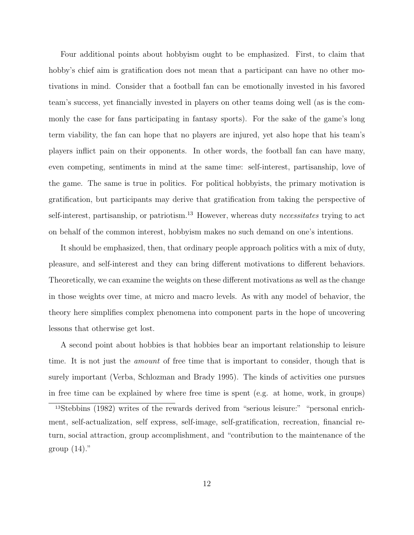Four additional points about hobbyism ought to be emphasized. First, to claim that hobby's chief aim is gratification does not mean that a participant can have no other motivations in mind. Consider that a football fan can be emotionally invested in his favored team's success, yet financially invested in players on other teams doing well (as is the commonly the case for fans participating in fantasy sports). For the sake of the game's long term viability, the fan can hope that no players are injured, yet also hope that his team's players inflict pain on their opponents. In other words, the football fan can have many, even competing, sentiments in mind at the same time: self-interest, partisanship, love of the game. The same is true in politics. For political hobbyists, the primary motivation is gratification, but participants may derive that gratification from taking the perspective of self-interest, partisanship, or patriotism.<sup>13</sup> However, whereas duty necessitates trying to act on behalf of the common interest, hobbyism makes no such demand on one's intentions.

It should be emphasized, then, that ordinary people approach politics with a mix of duty, pleasure, and self-interest and they can bring different motivations to different behaviors. Theoretically, we can examine the weights on these different motivations as well as the change in those weights over time, at micro and macro levels. As with any model of behavior, the theory here simplifies complex phenomena into component parts in the hope of uncovering lessons that otherwise get lost.

A second point about hobbies is that hobbies bear an important relationship to leisure time. It is not just the amount of free time that is important to consider, though that is surely important (Verba, Schlozman and Brady 1995). The kinds of activities one pursues in free time can be explained by where free time is spent (e.g. at home, work, in groups)

<sup>13</sup>Stebbins (1982) writes of the rewards derived from "serious leisure:" "personal enrichment, self-actualization, self express, self-image, self-gratification, recreation, financial return, social attraction, group accomplishment, and "contribution to the maintenance of the group  $(14)$ ."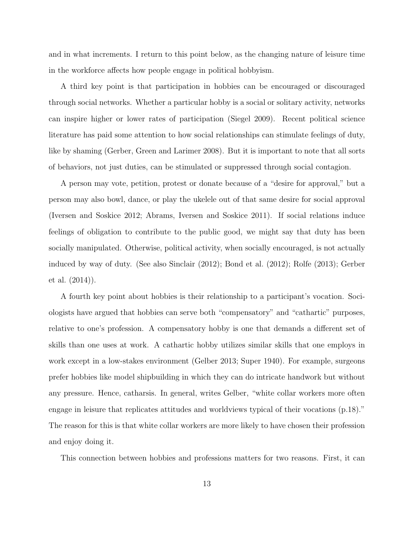and in what increments. I return to this point below, as the changing nature of leisure time in the workforce affects how people engage in political hobbyism.

A third key point is that participation in hobbies can be encouraged or discouraged through social networks. Whether a particular hobby is a social or solitary activity, networks can inspire higher or lower rates of participation (Siegel 2009). Recent political science literature has paid some attention to how social relationships can stimulate feelings of duty, like by shaming (Gerber, Green and Larimer 2008). But it is important to note that all sorts of behaviors, not just duties, can be stimulated or suppressed through social contagion.

A person may vote, petition, protest or donate because of a "desire for approval," but a person may also bowl, dance, or play the ukelele out of that same desire for social approval (Iversen and Soskice 2012; Abrams, Iversen and Soskice 2011). If social relations induce feelings of obligation to contribute to the public good, we might say that duty has been socially manipulated. Otherwise, political activity, when socially encouraged, is not actually induced by way of duty. (See also Sinclair (2012); Bond et al. (2012); Rolfe (2013); Gerber et al. (2014)).

A fourth key point about hobbies is their relationship to a participant's vocation. Sociologists have argued that hobbies can serve both "compensatory" and "cathartic" purposes, relative to one's profession. A compensatory hobby is one that demands a different set of skills than one uses at work. A cathartic hobby utilizes similar skills that one employs in work except in a low-stakes environment (Gelber 2013; Super 1940). For example, surgeons prefer hobbies like model shipbuilding in which they can do intricate handwork but without any pressure. Hence, catharsis. In general, writes Gelber, "white collar workers more often engage in leisure that replicates attitudes and worldviews typical of their vocations (p.18)." The reason for this is that white collar workers are more likely to have chosen their profession and enjoy doing it.

This connection between hobbies and professions matters for two reasons. First, it can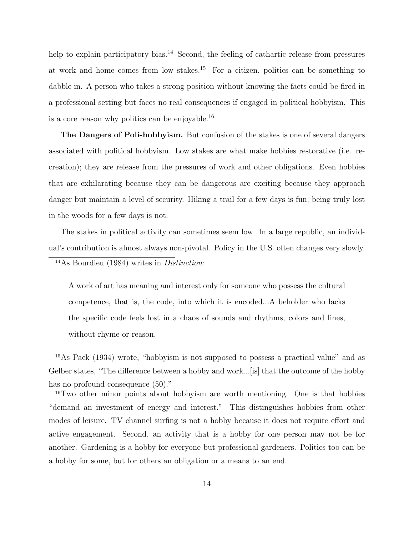help to explain participatory bias.<sup>14</sup> Second, the feeling of cathartic release from pressures at work and home comes from low stakes.<sup>15</sup> For a citizen, politics can be something to dabble in. A person who takes a strong position without knowing the facts could be fired in a professional setting but faces no real consequences if engaged in political hobbyism. This is a core reason why politics can be enjoyable.<sup>16</sup>

The Dangers of Poli-hobbyism. But confusion of the stakes is one of several dangers associated with political hobbyism. Low stakes are what make hobbies restorative (i.e. recreation); they are release from the pressures of work and other obligations. Even hobbies that are exhilarating because they can be dangerous are exciting because they approach danger but maintain a level of security. Hiking a trail for a few days is fun; being truly lost in the woods for a few days is not.

The stakes in political activity can sometimes seem low. In a large republic, an individual's contribution is almost always non-pivotal. Policy in the U.S. often changes very slowly.

### <sup>14</sup>As Bourdieu (1984) writes in Distinction:

A work of art has meaning and interest only for someone who possess the cultural competence, that is, the code, into which it is encoded...A beholder who lacks the specific code feels lost in a chaos of sounds and rhythms, colors and lines, without rhyme or reason.

<sup>15</sup>As Pack (1934) wrote, "hobbyism is not supposed to possess a practical value" and as Gelber states, "The difference between a hobby and work...[is] that the outcome of the hobby has no profound consequence  $(50)$ ."

<sup>16</sup>Two other minor points about hobbyism are worth mentioning. One is that hobbies "demand an investment of energy and interest." This distinguishes hobbies from other modes of leisure. TV channel surfing is not a hobby because it does not require effort and active engagement. Second, an activity that is a hobby for one person may not be for another. Gardening is a hobby for everyone but professional gardeners. Politics too can be a hobby for some, but for others an obligation or a means to an end.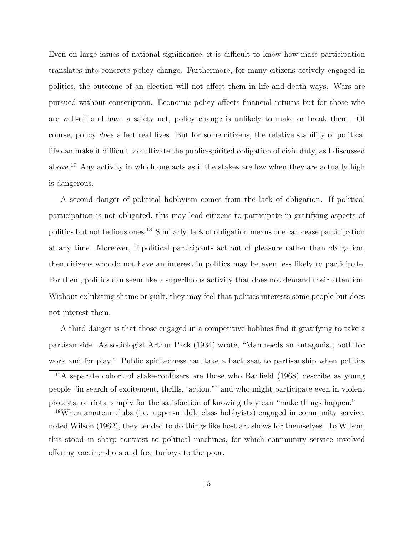Even on large issues of national significance, it is difficult to know how mass participation translates into concrete policy change. Furthermore, for many citizens actively engaged in politics, the outcome of an election will not affect them in life-and-death ways. Wars are pursued without conscription. Economic policy affects financial returns but for those who are well-off and have a safety net, policy change is unlikely to make or break them. Of course, policy does affect real lives. But for some citizens, the relative stability of political life can make it difficult to cultivate the public-spirited obligation of civic duty, as I discussed above.<sup>17</sup> Any activity in which one acts as if the stakes are low when they are actually high is dangerous.

A second danger of political hobbyism comes from the lack of obligation. If political participation is not obligated, this may lead citizens to participate in gratifying aspects of politics but not tedious ones.<sup>18</sup> Similarly, lack of obligation means one can cease participation at any time. Moreover, if political participants act out of pleasure rather than obligation, then citizens who do not have an interest in politics may be even less likely to participate. For them, politics can seem like a superfluous activity that does not demand their attention. Without exhibiting shame or guilt, they may feel that politics interests some people but does not interest them.

A third danger is that those engaged in a competitive hobbies find it gratifying to take a partisan side. As sociologist Arthur Pack (1934) wrote, "Man needs an antagonist, both for work and for play." Public spiritedness can take a back seat to partisanship when politics <sup>17</sup>A separate cohort of stake-confusers are those who Banfield (1968) describe as young people "in search of excitement, thrills, 'action,"' and who might participate even in violent protests, or riots, simply for the satisfaction of knowing they can "make things happen."

<sup>18</sup>When amateur clubs (i.e. upper-middle class hobbyists) engaged in community service, noted Wilson (1962), they tended to do things like host art shows for themselves. To Wilson, this stood in sharp contrast to political machines, for which community service involved offering vaccine shots and free turkeys to the poor.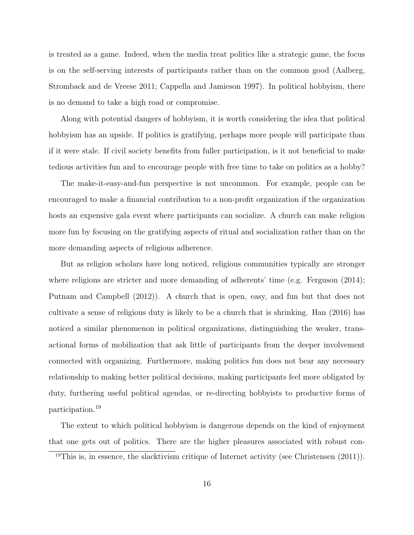is treated as a game. Indeed, when the media treat politics like a strategic game, the focus is on the self-serving interests of participants rather than on the common good (Aalberg, Stromback and de Vreese 2011; Cappella and Jamieson 1997). In political hobbyism, there is no demand to take a high road or compromise.

Along with potential dangers of hobbyism, it is worth considering the idea that political hobbyism has an upside. If politics is gratifying, perhaps more people will participate than if it were stale. If civil society benefits from fuller participation, is it not beneficial to make tedious activities fun and to encourage people with free time to take on politics as a hobby?

The make-it-easy-and-fun perspective is not uncommon. For example, people can be encouraged to make a financial contribution to a non-profit organization if the organization hosts an expensive gala event where participants can socialize. A church can make religion more fun by focusing on the gratifying aspects of ritual and socialization rather than on the more demanding aspects of religious adherence.

But as religion scholars have long noticed, religious communities typically are stronger where religions are stricter and more demanding of adherents' time (e.g. Ferguson (2014); Putnam and Campbell (2012)). A church that is open, easy, and fun but that does not cultivate a sense of religious duty is likely to be a church that is shrinking. Han (2016) has noticed a similar phenomenon in political organizations, distinguishing the weaker, transactional forms of mobilization that ask little of participants from the deeper involvement connected with organizing. Furthermore, making politics fun does not bear any necessary relationship to making better political decisions, making participants feel more obligated by duty, furthering useful political agendas, or re-directing hobbyists to productive forms of participation.<sup>19</sup>

The extent to which political hobbyism is dangerous depends on the kind of enjoyment that one gets out of politics. There are the higher pleasures associated with robust con-

 $19$ This is, in essence, the slacktivism critique of Internet activity (see Christensen  $(2011)$ ).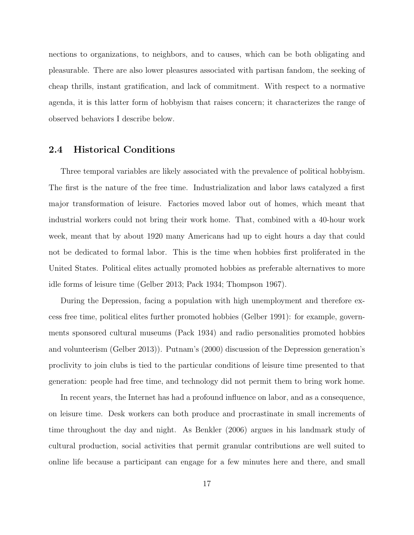nections to organizations, to neighbors, and to causes, which can be both obligating and pleasurable. There are also lower pleasures associated with partisan fandom, the seeking of cheap thrills, instant gratification, and lack of commitment. With respect to a normative agenda, it is this latter form of hobbyism that raises concern; it characterizes the range of observed behaviors I describe below.

#### 2.4 Historical Conditions

Three temporal variables are likely associated with the prevalence of political hobbyism. The first is the nature of the free time. Industrialization and labor laws catalyzed a first major transformation of leisure. Factories moved labor out of homes, which meant that industrial workers could not bring their work home. That, combined with a 40-hour work week, meant that by about 1920 many Americans had up to eight hours a day that could not be dedicated to formal labor. This is the time when hobbies first proliferated in the United States. Political elites actually promoted hobbies as preferable alternatives to more idle forms of leisure time (Gelber 2013; Pack 1934; Thompson 1967).

During the Depression, facing a population with high unemployment and therefore excess free time, political elites further promoted hobbies (Gelber 1991): for example, governments sponsored cultural museums (Pack 1934) and radio personalities promoted hobbies and volunteerism (Gelber 2013)). Putnam's (2000) discussion of the Depression generation's proclivity to join clubs is tied to the particular conditions of leisure time presented to that generation: people had free time, and technology did not permit them to bring work home.

In recent years, the Internet has had a profound influence on labor, and as a consequence, on leisure time. Desk workers can both produce and procrastinate in small increments of time throughout the day and night. As Benkler (2006) argues in his landmark study of cultural production, social activities that permit granular contributions are well suited to online life because a participant can engage for a few minutes here and there, and small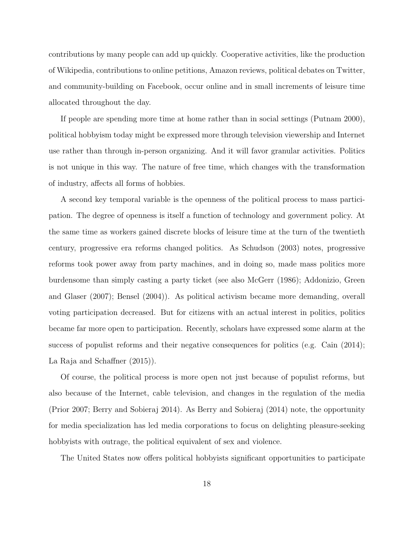contributions by many people can add up quickly. Cooperative activities, like the production of Wikipedia, contributions to online petitions, Amazon reviews, political debates on Twitter, and community-building on Facebook, occur online and in small increments of leisure time allocated throughout the day.

If people are spending more time at home rather than in social settings (Putnam 2000), political hobbyism today might be expressed more through television viewership and Internet use rather than through in-person organizing. And it will favor granular activities. Politics is not unique in this way. The nature of free time, which changes with the transformation of industry, affects all forms of hobbies.

A second key temporal variable is the openness of the political process to mass participation. The degree of openness is itself a function of technology and government policy. At the same time as workers gained discrete blocks of leisure time at the turn of the twentieth century, progressive era reforms changed politics. As Schudson (2003) notes, progressive reforms took power away from party machines, and in doing so, made mass politics more burdensome than simply casting a party ticket (see also McGerr (1986); Addonizio, Green and Glaser (2007); Bensel (2004)). As political activism became more demanding, overall voting participation decreased. But for citizens with an actual interest in politics, politics became far more open to participation. Recently, scholars have expressed some alarm at the success of populist reforms and their negative consequences for politics (e.g. Cain (2014); La Raja and Schaffner  $(2015)$ .

Of course, the political process is more open not just because of populist reforms, but also because of the Internet, cable television, and changes in the regulation of the media (Prior 2007; Berry and Sobieraj 2014). As Berry and Sobieraj (2014) note, the opportunity for media specialization has led media corporations to focus on delighting pleasure-seeking hobbyists with outrage, the political equivalent of sex and violence.

The United States now offers political hobbyists significant opportunities to participate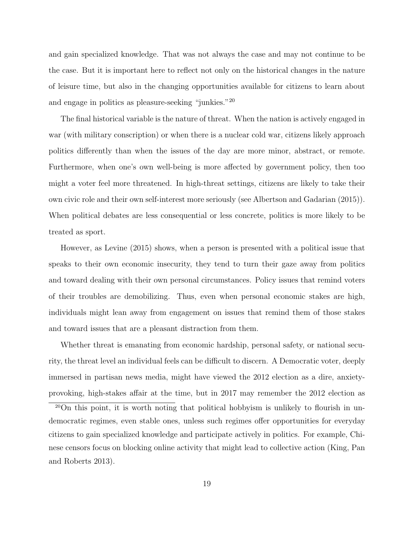and gain specialized knowledge. That was not always the case and may not continue to be the case. But it is important here to reflect not only on the historical changes in the nature of leisure time, but also in the changing opportunities available for citizens to learn about and engage in politics as pleasure-seeking "junkies."<sup>20</sup>

The final historical variable is the nature of threat. When the nation is actively engaged in war (with military conscription) or when there is a nuclear cold war, citizens likely approach politics differently than when the issues of the day are more minor, abstract, or remote. Furthermore, when one's own well-being is more affected by government policy, then too might a voter feel more threatened. In high-threat settings, citizens are likely to take their own civic role and their own self-interest more seriously (see Albertson and Gadarian (2015)). When political debates are less consequential or less concrete, politics is more likely to be treated as sport.

However, as Levine (2015) shows, when a person is presented with a political issue that speaks to their own economic insecurity, they tend to turn their gaze away from politics and toward dealing with their own personal circumstances. Policy issues that remind voters of their troubles are demobilizing. Thus, even when personal economic stakes are high, individuals might lean away from engagement on issues that remind them of those stakes and toward issues that are a pleasant distraction from them.

Whether threat is emanating from economic hardship, personal safety, or national security, the threat level an individual feels can be difficult to discern. A Democratic voter, deeply immersed in partisan news media, might have viewed the 2012 election as a dire, anxietyprovoking, high-stakes affair at the time, but in 2017 may remember the 2012 election as

<sup>20</sup>On this point, it is worth noting that political hobbyism is unlikely to flourish in undemocratic regimes, even stable ones, unless such regimes offer opportunities for everyday citizens to gain specialized knowledge and participate actively in politics. For example, Chinese censors focus on blocking online activity that might lead to collective action (King, Pan and Roberts 2013).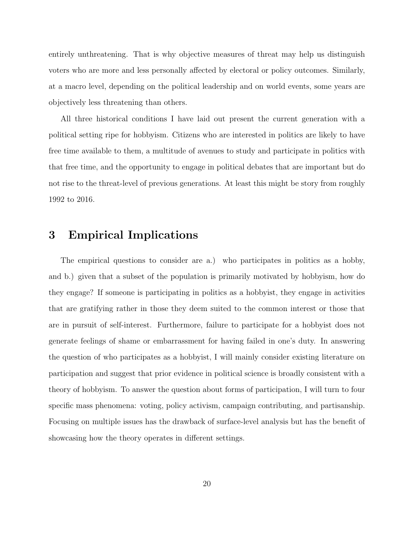entirely unthreatening. That is why objective measures of threat may help us distinguish voters who are more and less personally affected by electoral or policy outcomes. Similarly, at a macro level, depending on the political leadership and on world events, some years are objectively less threatening than others.

All three historical conditions I have laid out present the current generation with a political setting ripe for hobbyism. Citizens who are interested in politics are likely to have free time available to them, a multitude of avenues to study and participate in politics with that free time, and the opportunity to engage in political debates that are important but do not rise to the threat-level of previous generations. At least this might be story from roughly 1992 to 2016.

## 3 Empirical Implications

The empirical questions to consider are a.) who participates in politics as a hobby, and b.) given that a subset of the population is primarily motivated by hobbyism, how do they engage? If someone is participating in politics as a hobbyist, they engage in activities that are gratifying rather in those they deem suited to the common interest or those that are in pursuit of self-interest. Furthermore, failure to participate for a hobbyist does not generate feelings of shame or embarrassment for having failed in one's duty. In answering the question of who participates as a hobbyist, I will mainly consider existing literature on participation and suggest that prior evidence in political science is broadly consistent with a theory of hobbyism. To answer the question about forms of participation, I will turn to four specific mass phenomena: voting, policy activism, campaign contributing, and partisanship. Focusing on multiple issues has the drawback of surface-level analysis but has the benefit of showcasing how the theory operates in different settings.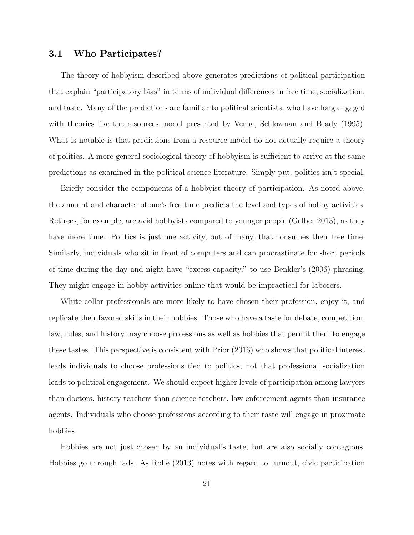#### 3.1 Who Participates?

The theory of hobbyism described above generates predictions of political participation that explain "participatory bias" in terms of individual differences in free time, socialization, and taste. Many of the predictions are familiar to political scientists, who have long engaged with theories like the resources model presented by Verba, Schlozman and Brady (1995). What is notable is that predictions from a resource model do not actually require a theory of politics. A more general sociological theory of hobbyism is sufficient to arrive at the same predictions as examined in the political science literature. Simply put, politics isn't special.

Briefly consider the components of a hobbyist theory of participation. As noted above, the amount and character of one's free time predicts the level and types of hobby activities. Retirees, for example, are avid hobbyists compared to younger people (Gelber 2013), as they have more time. Politics is just one activity, out of many, that consumes their free time. Similarly, individuals who sit in front of computers and can procrastinate for short periods of time during the day and night have "excess capacity," to use Benkler's (2006) phrasing. They might engage in hobby activities online that would be impractical for laborers.

White-collar professionals are more likely to have chosen their profession, enjoy it, and replicate their favored skills in their hobbies. Those who have a taste for debate, competition, law, rules, and history may choose professions as well as hobbies that permit them to engage these tastes. This perspective is consistent with Prior (2016) who shows that political interest leads individuals to choose professions tied to politics, not that professional socialization leads to political engagement. We should expect higher levels of participation among lawyers than doctors, history teachers than science teachers, law enforcement agents than insurance agents. Individuals who choose professions according to their taste will engage in proximate hobbies.

Hobbies are not just chosen by an individual's taste, but are also socially contagious. Hobbies go through fads. As Rolfe (2013) notes with regard to turnout, civic participation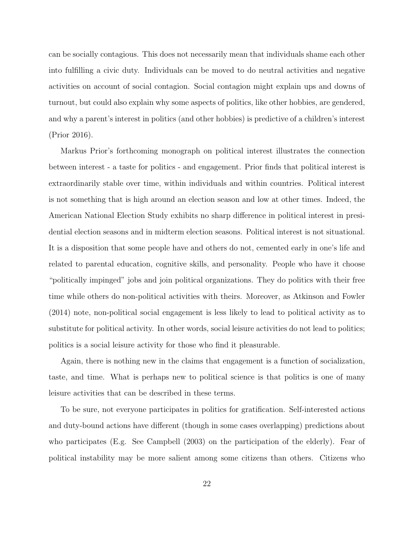can be socially contagious. This does not necessarily mean that individuals shame each other into fulfilling a civic duty. Individuals can be moved to do neutral activities and negative activities on account of social contagion. Social contagion might explain ups and downs of turnout, but could also explain why some aspects of politics, like other hobbies, are gendered, and why a parent's interest in politics (and other hobbies) is predictive of a children's interest (Prior 2016).

Markus Prior's forthcoming monograph on political interest illustrates the connection between interest - a taste for politics - and engagement. Prior finds that political interest is extraordinarily stable over time, within individuals and within countries. Political interest is not something that is high around an election season and low at other times. Indeed, the American National Election Study exhibits no sharp difference in political interest in presidential election seasons and in midterm election seasons. Political interest is not situational. It is a disposition that some people have and others do not, cemented early in one's life and related to parental education, cognitive skills, and personality. People who have it choose "politically impinged" jobs and join political organizations. They do politics with their free time while others do non-political activities with theirs. Moreover, as Atkinson and Fowler (2014) note, non-political social engagement is less likely to lead to political activity as to substitute for political activity. In other words, social leisure activities do not lead to politics; politics is a social leisure activity for those who find it pleasurable.

Again, there is nothing new in the claims that engagement is a function of socialization, taste, and time. What is perhaps new to political science is that politics is one of many leisure activities that can be described in these terms.

To be sure, not everyone participates in politics for gratification. Self-interested actions and duty-bound actions have different (though in some cases overlapping) predictions about who participates (E.g. See Campbell (2003) on the participation of the elderly). Fear of political instability may be more salient among some citizens than others. Citizens who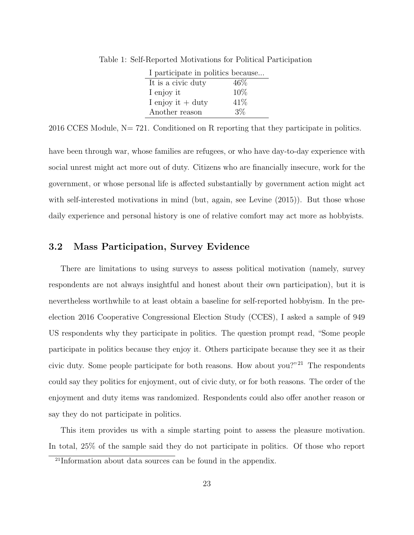| I participate in politics because |        |
|-----------------------------------|--------|
| It is a civic duty                | $46\%$ |
| I enjoy it                        | 10%    |
| I enjoy it $+$ duty               | 41\%   |
| Another reason                    | $3\%$  |

Table 1: Self-Reported Motivations for Political Participation

 $2016$  CCES Module, N= 721. Conditioned on R reporting that they participate in politics.

have been through war, whose families are refugees, or who have day-to-day experience with social unrest might act more out of duty. Citizens who are financially insecure, work for the government, or whose personal life is affected substantially by government action might act with self-interested motivations in mind (but, again, see Levine  $(2015)$ ). But those whose daily experience and personal history is one of relative comfort may act more as hobbyists.

### 3.2 Mass Participation, Survey Evidence

There are limitations to using surveys to assess political motivation (namely, survey respondents are not always insightful and honest about their own participation), but it is nevertheless worthwhile to at least obtain a baseline for self-reported hobbyism. In the preelection 2016 Cooperative Congressional Election Study (CCES), I asked a sample of 949 US respondents why they participate in politics. The question prompt read, "Some people participate in politics because they enjoy it. Others participate because they see it as their civic duty. Some people participate for both reasons. How about you?"<sup>21</sup> The respondents could say they politics for enjoyment, out of civic duty, or for both reasons. The order of the enjoyment and duty items was randomized. Respondents could also offer another reason or say they do not participate in politics.

This item provides us with a simple starting point to assess the pleasure motivation. In total, 25% of the sample said they do not participate in politics. Of those who report

<sup>21</sup>Information about data sources can be found in the appendix.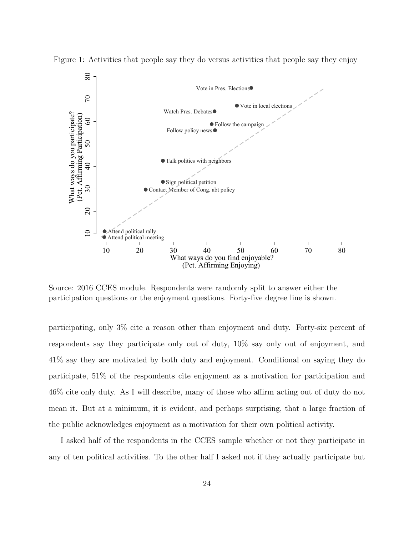

Figure 1: Activities that people say they do versus activities that people say they enjoy

Source: 2016 CCES module. Respondents were randomly split to answer either the participation questions or the enjoyment questions. Forty-five degree line is shown.

participating, only 3% cite a reason other than enjoyment and duty. Forty-six percent of respondents say they participate only out of duty, 10% say only out of enjoyment, and 41% say they are motivated by both duty and enjoyment. Conditional on saying they do participate, 51% of the respondents cite enjoyment as a motivation for participation and 46% cite only duty. As I will describe, many of those who affirm acting out of duty do not mean it. But at a minimum, it is evident, and perhaps surprising, that a large fraction of the public acknowledges enjoyment as a motivation for their own political activity.

I asked half of the respondents in the CCES sample whether or not they participate in any of ten political activities. To the other half I asked not if they actually participate but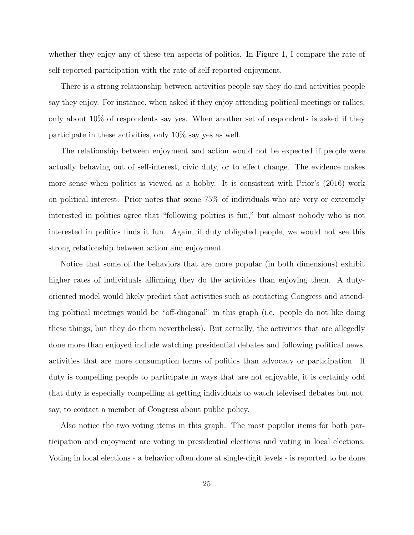whether they enjoy any of these ten aspects of politics. In Figure 1, I compare the rate of self-reported participation with the rate of self-reported enjoyment.

There is a strong relationship between activities people say they do and activities people say they enjoy. For instance, when asked if they enjoy attending political meetings or rallies, only about 10% of respondents say yes. When another set of respondents is asked if they participate in these activities, only 10% say yes as well.

The relationship between enjoyment and action would not be expected if people were actually behaving out of self-interest, civic duty, or to effect change. The evidence makes more sense when politics is viewed as a hobby. It is consistent with Prior's (2016) work on political interest. Prior notes that some 75% of individuals who are very or extremely interested in politics agree that "following politics is fun," but almost nobody who is not interested in politics finds it fun. Again, if duty obligated people, we would not see this strong relationship between action and enjoyment.

Notice that some of the behaviors that are more popular (in both dimensions) exhibit higher rates of individuals affirming they do the activities than enjoying them. A dutyoriented model would likely predict that activities such as contacting Congress and attending political meetings would be "off-diagonal" in this graph (i.e. people do not like doing these things, but they do them nevertheless). But actually, the activities that are allegedly done more than enjoyed include watching presidential debates and following political news, activities that are more consumption forms of politics than advocacy or participation. If duty is compelling people to participate in ways that are not enjoyable, it is certainly odd that duty is especially compelling at getting individuals to watch televised debates but not, say, to contact a member of Congress about public policy.

Also notice the two voting items in this graph. The most popular items for both participation and enjoyment are voting in presidential elections and voting in local elections. Voting in local elections - a behavior often done at single-digit levels - is reported to be done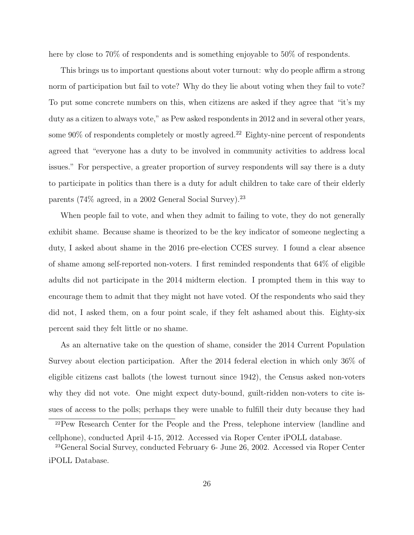here by close to 70% of respondents and is something enjoyable to 50% of respondents.

This brings us to important questions about voter turnout: why do people affirm a strong norm of participation but fail to vote? Why do they lie about voting when they fail to vote? To put some concrete numbers on this, when citizens are asked if they agree that "it's my duty as a citizen to always vote," as Pew asked respondents in 2012 and in several other years, some  $90\%$  of respondents completely or mostly agreed.<sup>22</sup> Eighty-nine percent of respondents agreed that "everyone has a duty to be involved in community activities to address local issues." For perspective, a greater proportion of survey respondents will say there is a duty to participate in politics than there is a duty for adult children to take care of their elderly parents (74% agreed, in a 2002 General Social Survey).<sup>23</sup>

When people fail to vote, and when they admit to failing to vote, they do not generally exhibit shame. Because shame is theorized to be the key indicator of someone neglecting a duty, I asked about shame in the 2016 pre-election CCES survey. I found a clear absence of shame among self-reported non-voters. I first reminded respondents that 64% of eligible adults did not participate in the 2014 midterm election. I prompted them in this way to encourage them to admit that they might not have voted. Of the respondents who said they did not, I asked them, on a four point scale, if they felt ashamed about this. Eighty-six percent said they felt little or no shame.

As an alternative take on the question of shame, consider the 2014 Current Population Survey about election participation. After the 2014 federal election in which only 36% of eligible citizens cast ballots (the lowest turnout since 1942), the Census asked non-voters why they did not vote. One might expect duty-bound, guilt-ridden non-voters to cite issues of access to the polls; perhaps they were unable to fulfill their duty because they had

<sup>22</sup>Pew Research Center for the People and the Press, telephone interview (landline and cellphone), conducted April 4-15, 2012. Accessed via Roper Center iPOLL database.

<sup>23</sup>General Social Survey, conducted February 6- June 26, 2002. Accessed via Roper Center iPOLL Database.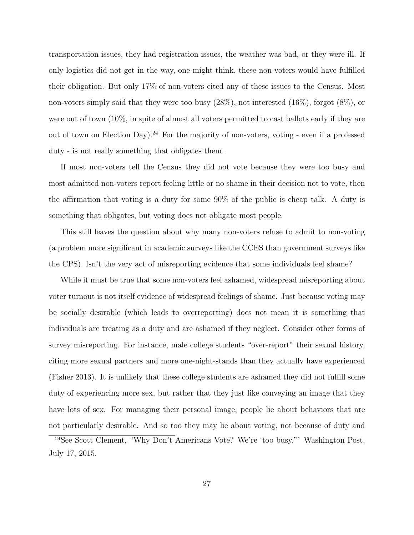transportation issues, they had registration issues, the weather was bad, or they were ill. If only logistics did not get in the way, one might think, these non-voters would have fulfilled their obligation. But only 17% of non-voters cited any of these issues to the Census. Most non-voters simply said that they were too busy (28%), not interested (16%), forgot (8%), or were out of town (10%, in spite of almost all voters permitted to cast ballots early if they are out of town on Election Day).<sup>24</sup> For the majority of non-voters, voting - even if a professed duty - is not really something that obligates them.

If most non-voters tell the Census they did not vote because they were too busy and most admitted non-voters report feeling little or no shame in their decision not to vote, then the affirmation that voting is a duty for some 90% of the public is cheap talk. A duty is something that obligates, but voting does not obligate most people.

This still leaves the question about why many non-voters refuse to admit to non-voting (a problem more significant in academic surveys like the CCES than government surveys like the CPS). Isn't the very act of misreporting evidence that some individuals feel shame?

While it must be true that some non-voters feel ashamed, widespread misreporting about voter turnout is not itself evidence of widespread feelings of shame. Just because voting may be socially desirable (which leads to overreporting) does not mean it is something that individuals are treating as a duty and are ashamed if they neglect. Consider other forms of survey misreporting. For instance, male college students "over-report" their sexual history, citing more sexual partners and more one-night-stands than they actually have experienced (Fisher 2013). It is unlikely that these college students are ashamed they did not fulfill some duty of experiencing more sex, but rather that they just like conveying an image that they have lots of sex. For managing their personal image, people lie about behaviors that are not particularly desirable. And so too they may lie about voting, not because of duty and

<sup>24</sup>See Scott Clement, "Why Don't Americans Vote? We're 'too busy."' Washington Post, July 17, 2015.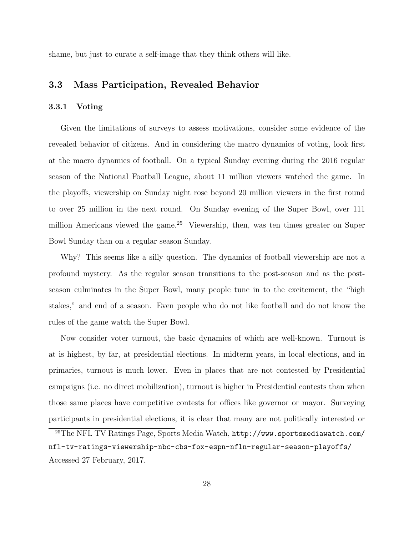shame, but just to curate a self-image that they think others will like.

### 3.3 Mass Participation, Revealed Behavior

#### 3.3.1 Voting

Given the limitations of surveys to assess motivations, consider some evidence of the revealed behavior of citizens. And in considering the macro dynamics of voting, look first at the macro dynamics of football. On a typical Sunday evening during the 2016 regular season of the National Football League, about 11 million viewers watched the game. In the playoffs, viewership on Sunday night rose beyond 20 million viewers in the first round to over 25 million in the next round. On Sunday evening of the Super Bowl, over 111 million Americans viewed the game.<sup>25</sup> Viewership, then, was ten times greater on Super Bowl Sunday than on a regular season Sunday.

Why? This seems like a silly question. The dynamics of football viewership are not a profound mystery. As the regular season transitions to the post-season and as the postseason culminates in the Super Bowl, many people tune in to the excitement, the "high stakes," and end of a season. Even people who do not like football and do not know the rules of the game watch the Super Bowl.

Now consider voter turnout, the basic dynamics of which are well-known. Turnout is at is highest, by far, at presidential elections. In midterm years, in local elections, and in primaries, turnout is much lower. Even in places that are not contested by Presidential campaigns (i.e. no direct mobilization), turnout is higher in Presidential contests than when those same places have competitive contests for offices like governor or mayor. Surveying participants in presidential elections, it is clear that many are not politically interested or

<sup>25</sup>The NFL TV Ratings Page, Sports Media Watch, http://www.sportsmediawatch.com/ nfl-tv-ratings-viewership-nbc-cbs-fox-espn-nfln-regular-season-playoffs/ Accessed 27 February, 2017.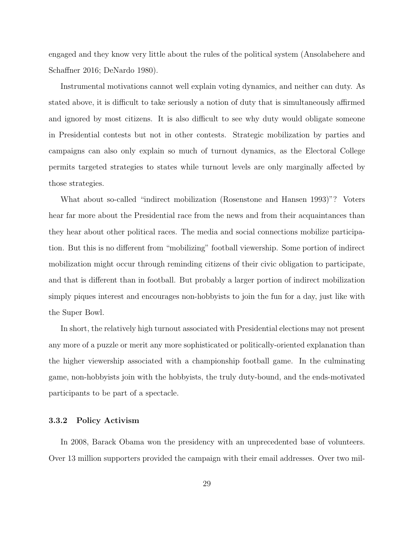engaged and they know very little about the rules of the political system (Ansolabehere and Schaffner 2016; DeNardo 1980).

Instrumental motivations cannot well explain voting dynamics, and neither can duty. As stated above, it is difficult to take seriously a notion of duty that is simultaneously affirmed and ignored by most citizens. It is also difficult to see why duty would obligate someone in Presidential contests but not in other contests. Strategic mobilization by parties and campaigns can also only explain so much of turnout dynamics, as the Electoral College permits targeted strategies to states while turnout levels are only marginally affected by those strategies.

What about so-called "indirect mobilization (Rosenstone and Hansen 1993)"? Voters hear far more about the Presidential race from the news and from their acquaintances than they hear about other political races. The media and social connections mobilize participation. But this is no different from "mobilizing" football viewership. Some portion of indirect mobilization might occur through reminding citizens of their civic obligation to participate, and that is different than in football. But probably a larger portion of indirect mobilization simply piques interest and encourages non-hobbyists to join the fun for a day, just like with the Super Bowl.

In short, the relatively high turnout associated with Presidential elections may not present any more of a puzzle or merit any more sophisticated or politically-oriented explanation than the higher viewership associated with a championship football game. In the culminating game, non-hobbyists join with the hobbyists, the truly duty-bound, and the ends-motivated participants to be part of a spectacle.

#### 3.3.2 Policy Activism

In 2008, Barack Obama won the presidency with an unprecedented base of volunteers. Over 13 million supporters provided the campaign with their email addresses. Over two mil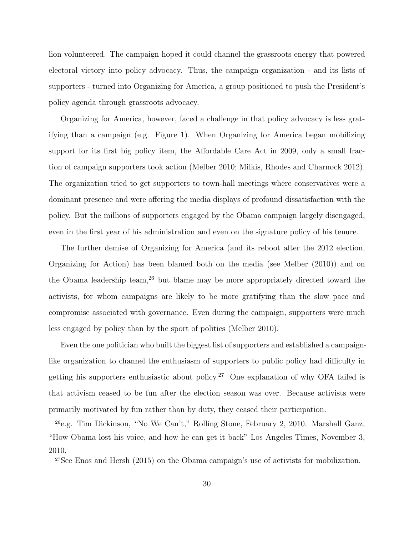lion volunteered. The campaign hoped it could channel the grassroots energy that powered electoral victory into policy advocacy. Thus, the campaign organization - and its lists of supporters - turned into Organizing for America, a group positioned to push the President's policy agenda through grassroots advocacy.

Organizing for America, however, faced a challenge in that policy advocacy is less gratifying than a campaign (e.g. Figure 1). When Organizing for America began mobilizing support for its first big policy item, the Affordable Care Act in 2009, only a small fraction of campaign supporters took action (Melber 2010; Milkis, Rhodes and Charnock 2012). The organization tried to get supporters to town-hall meetings where conservatives were a dominant presence and were offering the media displays of profound dissatisfaction with the policy. But the millions of supporters engaged by the Obama campaign largely disengaged, even in the first year of his administration and even on the signature policy of his tenure.

The further demise of Organizing for America (and its reboot after the 2012 election, Organizing for Action) has been blamed both on the media (see Melber (2010)) and on the Obama leadership team,<sup>26</sup> but blame may be more appropriately directed toward the activists, for whom campaigns are likely to be more gratifying than the slow pace and compromise associated with governance. Even during the campaign, supporters were much less engaged by policy than by the sport of politics (Melber 2010).

Even the one politician who built the biggest list of supporters and established a campaignlike organization to channel the enthusiasm of supporters to public policy had difficulty in getting his supporters enthusiastic about policy.<sup>27</sup> One explanation of why OFA failed is that activism ceased to be fun after the election season was over. Because activists were primarily motivated by fun rather than by duty, they ceased their participation.

<sup>27</sup>See Enos and Hersh (2015) on the Obama campaign's use of activists for mobilization.

<sup>26</sup>e.g. Tim Dickinson, "No We Can't," Rolling Stone, February 2, 2010. Marshall Ganz, "How Obama lost his voice, and how he can get it back" Los Angeles Times, November 3, 2010.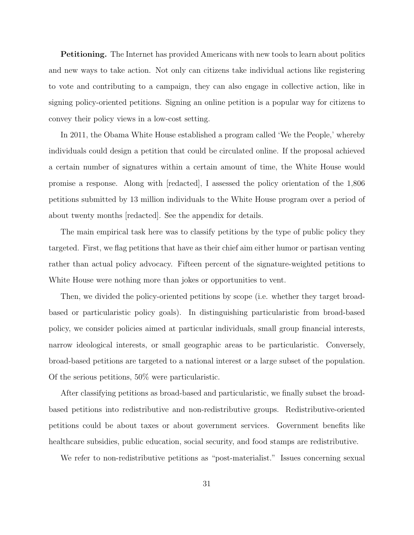**Petitioning.** The Internet has provided Americans with new tools to learn about politics and new ways to take action. Not only can citizens take individual actions like registering to vote and contributing to a campaign, they can also engage in collective action, like in signing policy-oriented petitions. Signing an online petition is a popular way for citizens to convey their policy views in a low-cost setting.

In 2011, the Obama White House established a program called 'We the People,' whereby individuals could design a petition that could be circulated online. If the proposal achieved a certain number of signatures within a certain amount of time, the White House would promise a response. Along with [redacted], I assessed the policy orientation of the 1,806 petitions submitted by 13 million individuals to the White House program over a period of about twenty months [redacted]. See the appendix for details.

The main empirical task here was to classify petitions by the type of public policy they targeted. First, we flag petitions that have as their chief aim either humor or partisan venting rather than actual policy advocacy. Fifteen percent of the signature-weighted petitions to White House were nothing more than jokes or opportunities to vent.

Then, we divided the policy-oriented petitions by scope (i.e. whether they target broadbased or particularistic policy goals). In distinguishing particularistic from broad-based policy, we consider policies aimed at particular individuals, small group financial interests, narrow ideological interests, or small geographic areas to be particularistic. Conversely, broad-based petitions are targeted to a national interest or a large subset of the population. Of the serious petitions, 50% were particularistic.

After classifying petitions as broad-based and particularistic, we finally subset the broadbased petitions into redistributive and non-redistributive groups. Redistributive-oriented petitions could be about taxes or about government services. Government benefits like healthcare subsidies, public education, social security, and food stamps are redistributive.

We refer to non-redistributive petitions as "post-materialist." Issues concerning sexual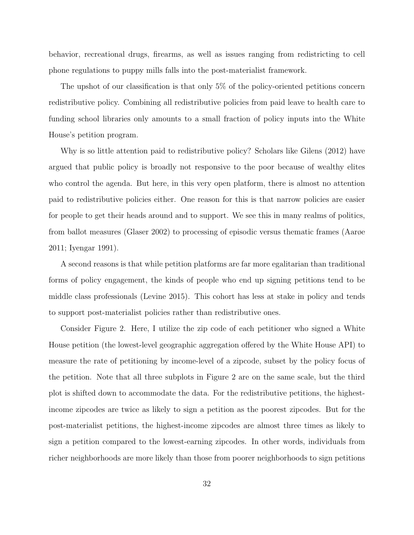behavior, recreational drugs, firearms, as well as issues ranging from redistricting to cell phone regulations to puppy mills falls into the post-materialist framework.

The upshot of our classification is that only 5% of the policy-oriented petitions concern redistributive policy. Combining all redistributive policies from paid leave to health care to funding school libraries only amounts to a small fraction of policy inputs into the White House's petition program.

Why is so little attention paid to redistributive policy? Scholars like Gilens (2012) have argued that public policy is broadly not responsive to the poor because of wealthy elites who control the agenda. But here, in this very open platform, there is almost no attention paid to redistributive policies either. One reason for this is that narrow policies are easier for people to get their heads around and to support. We see this in many realms of politics, from ballot measures (Glaser 2002) to processing of episodic versus thematic frames (Aarøe 2011; Iyengar 1991).

A second reasons is that while petition platforms are far more egalitarian than traditional forms of policy engagement, the kinds of people who end up signing petitions tend to be middle class professionals (Levine 2015). This cohort has less at stake in policy and tends to support post-materialist policies rather than redistributive ones.

Consider Figure 2. Here, I utilize the zip code of each petitioner who signed a White House petition (the lowest-level geographic aggregation offered by the White House API) to measure the rate of petitioning by income-level of a zipcode, subset by the policy focus of the petition. Note that all three subplots in Figure 2 are on the same scale, but the third plot is shifted down to accommodate the data. For the redistributive petitions, the highestincome zipcodes are twice as likely to sign a petition as the poorest zipcodes. But for the post-materialist petitions, the highest-income zipcodes are almost three times as likely to sign a petition compared to the lowest-earning zipcodes. In other words, individuals from richer neighborhoods are more likely than those from poorer neighborhoods to sign petitions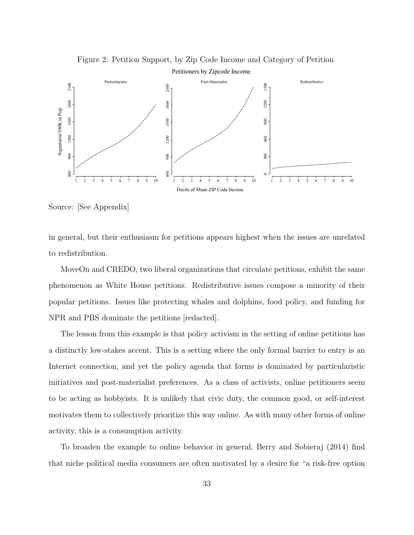

Figure 2: Petition Support, by Zip Code Income and Category of Petition

Source: [See Appendix]

in general, but their enthusiasm for petitions appears highest when the issues are unrelated to redistribution.

MoveOn and CREDO, two liberal organizations that circulate petitions, exhibit the same phenomenon as White House petitions. Redistributive issues compose a minority of their popular petitions. Issues like protecting whales and dolphins, food policy, and funding for NPR and PBS dominate the petitions [redacted].

The lesson from this example is that policy activism in the setting of online petitions has a distinctly low-stakes accent. This is a setting where the only formal barrier to entry is an Internet connection, and yet the policy agenda that forms is dominated by particularistic initiatives and post-materialist preferences. As a class of activists, online petitioners seem to be acting as hobbyists. It is unlikely that civic duty, the common good, or self-interest motivates them to collectively prioritize this way online. As with many other forms of online activity, this is a consumption activity.

To broaden the example to online behavior in general, Berry and Sobieraj (2014) find that niche political media consumers are often motivated by a desire for "a risk-free option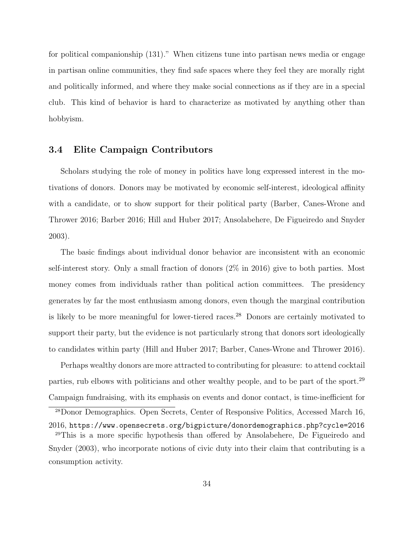for political companionship (131)." When citizens tune into partisan news media or engage in partisan online communities, they find safe spaces where they feel they are morally right and politically informed, and where they make social connections as if they are in a special club. This kind of behavior is hard to characterize as motivated by anything other than hobbyism.

### 3.4 Elite Campaign Contributors

Scholars studying the role of money in politics have long expressed interest in the motivations of donors. Donors may be motivated by economic self-interest, ideological affinity with a candidate, or to show support for their political party (Barber, Canes-Wrone and Thrower 2016; Barber 2016; Hill and Huber 2017; Ansolabehere, De Figueiredo and Snyder 2003).

The basic findings about individual donor behavior are inconsistent with an economic self-interest story. Only a small fraction of donors (2% in 2016) give to both parties. Most money comes from individuals rather than political action committees. The presidency generates by far the most enthusiasm among donors, even though the marginal contribution is likely to be more meaningful for lower-tiered races.<sup>28</sup> Donors are certainly motivated to support their party, but the evidence is not particularly strong that donors sort ideologically to candidates within party (Hill and Huber 2017; Barber, Canes-Wrone and Thrower 2016).

Perhaps wealthy donors are more attracted to contributing for pleasure: to attend cocktail parties, rub elbows with politicians and other wealthy people, and to be part of the sport.<sup>29</sup> Campaign fundraising, with its emphasis on events and donor contact, is time-inefficient for

<sup>28</sup>Donor Demographics. Open Secrets, Center of Responsive Politics, Accessed March 16, 2016, https://www.opensecrets.org/bigpicture/donordemographics.php?cycle=2016 <sup>29</sup>This is a more specific hypothesis than offered by Ansolabehere, De Figueiredo and Snyder (2003), who incorporate notions of civic duty into their claim that contributing is a consumption activity.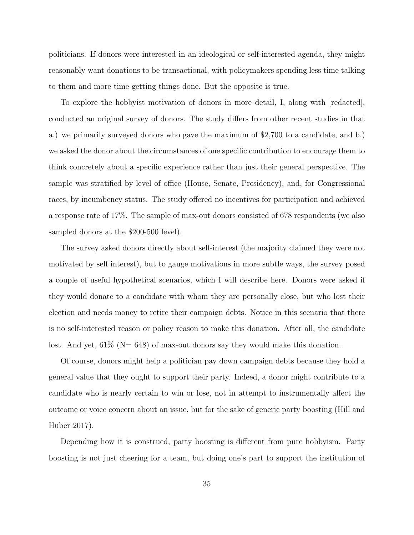politicians. If donors were interested in an ideological or self-interested agenda, they might reasonably want donations to be transactional, with policymakers spending less time talking to them and more time getting things done. But the opposite is true.

To explore the hobbyist motivation of donors in more detail, I, along with [redacted], conducted an original survey of donors. The study differs from other recent studies in that a.) we primarily surveyed donors who gave the maximum of \$2,700 to a candidate, and b.) we asked the donor about the circumstances of one specific contribution to encourage them to think concretely about a specific experience rather than just their general perspective. The sample was stratified by level of office (House, Senate, Presidency), and, for Congressional races, by incumbency status. The study offered no incentives for participation and achieved a response rate of 17%. The sample of max-out donors consisted of 678 respondents (we also sampled donors at the \$200-500 level).

The survey asked donors directly about self-interest (the majority claimed they were not motivated by self interest), but to gauge motivations in more subtle ways, the survey posed a couple of useful hypothetical scenarios, which I will describe here. Donors were asked if they would donate to a candidate with whom they are personally close, but who lost their election and needs money to retire their campaign debts. Notice in this scenario that there is no self-interested reason or policy reason to make this donation. After all, the candidate lost. And yet,  $61\%$  (N= 648) of max-out donors say they would make this donation.

Of course, donors might help a politician pay down campaign debts because they hold a general value that they ought to support their party. Indeed, a donor might contribute to a candidate who is nearly certain to win or lose, not in attempt to instrumentally affect the outcome or voice concern about an issue, but for the sake of generic party boosting (Hill and Huber 2017).

Depending how it is construed, party boosting is different from pure hobbyism. Party boosting is not just cheering for a team, but doing one's part to support the institution of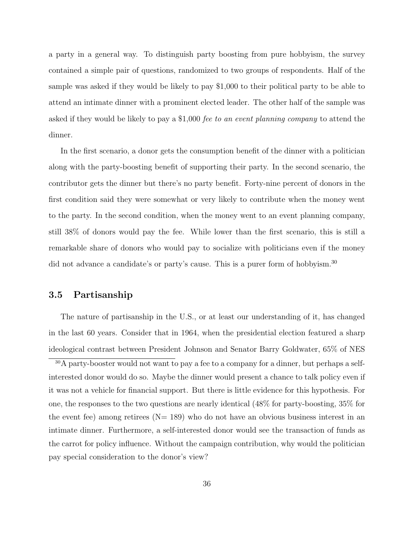a party in a general way. To distinguish party boosting from pure hobbyism, the survey contained a simple pair of questions, randomized to two groups of respondents. Half of the sample was asked if they would be likely to pay \$1,000 to their political party to be able to attend an intimate dinner with a prominent elected leader. The other half of the sample was asked if they would be likely to pay a \$1,000 fee to an event planning company to attend the dinner.

In the first scenario, a donor gets the consumption benefit of the dinner with a politician along with the party-boosting benefit of supporting their party. In the second scenario, the contributor gets the dinner but there's no party benefit. Forty-nine percent of donors in the first condition said they were somewhat or very likely to contribute when the money went to the party. In the second condition, when the money went to an event planning company, still 38% of donors would pay the fee. While lower than the first scenario, this is still a remarkable share of donors who would pay to socialize with politicians even if the money did not advance a candidate's or party's cause. This is a purer form of hobbyism.<sup>30</sup>

#### 3.5 Partisanship

The nature of partisanship in the U.S., or at least our understanding of it, has changed in the last 60 years. Consider that in 1964, when the presidential election featured a sharp ideological contrast between President Johnson and Senator Barry Goldwater, 65% of NES

<sup>30</sup>A party-booster would not want to pay a fee to a company for a dinner, but perhaps a selfinterested donor would do so. Maybe the dinner would present a chance to talk policy even if it was not a vehicle for financial support. But there is little evidence for this hypothesis. For one, the responses to the two questions are nearly identical (48% for party-boosting, 35% for the event fee) among retirees  $(N= 189)$  who do not have an obvious business interest in an intimate dinner. Furthermore, a self-interested donor would see the transaction of funds as the carrot for policy influence. Without the campaign contribution, why would the politician pay special consideration to the donor's view?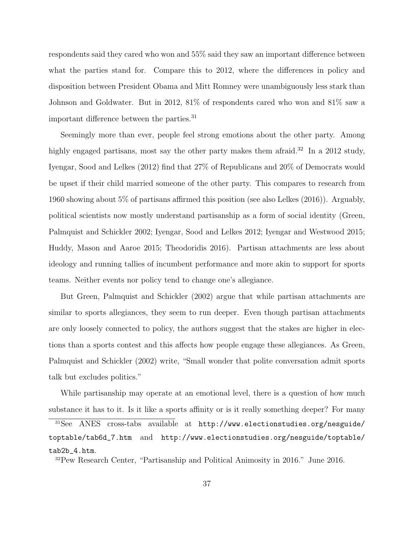respondents said they cared who won and 55% said they saw an important difference between what the parties stand for. Compare this to 2012, where the differences in policy and disposition between President Obama and Mitt Romney were unambiguously less stark than Johnson and Goldwater. But in 2012, 81% of respondents cared who won and 81% saw a important difference between the parties.<sup>31</sup>

Seemingly more than ever, people feel strong emotions about the other party. Among highly engaged partisans, most say the other party makes them afraid.<sup>32</sup> In a 2012 study, Iyengar, Sood and Lelkes (2012) find that 27% of Republicans and 20% of Democrats would be upset if their child married someone of the other party. This compares to research from 1960 showing about 5% of partisans affirmed this position (see also Lelkes (2016)). Arguably, political scientists now mostly understand partisanship as a form of social identity (Green, Palmquist and Schickler 2002; Iyengar, Sood and Lelkes 2012; Iyengar and Westwood 2015; Huddy, Mason and Aaroe 2015; Theodoridis 2016). Partisan attachments are less about ideology and running tallies of incumbent performance and more akin to support for sports teams. Neither events nor policy tend to change one's allegiance.

But Green, Palmquist and Schickler (2002) argue that while partisan attachments are similar to sports allegiances, they seem to run deeper. Even though partisan attachments are only loosely connected to policy, the authors suggest that the stakes are higher in elections than a sports contest and this affects how people engage these allegiances. As Green, Palmquist and Schickler (2002) write, "Small wonder that polite conversation admit sports talk but excludes politics."

While partisanship may operate at an emotional level, there is a question of how much substance it has to it. Is it like a sports affinity or is it really something deeper? For many

<sup>32</sup>Pew Research Center, "Partisanship and Political Animosity in 2016." June 2016.

<sup>31</sup>See ANES cross-tabs available at http://www.electionstudies.org/nesguide/ toptable/tab6d\_7.htm and http://www.electionstudies.org/nesguide/toptable/ tab2b\_4.htm.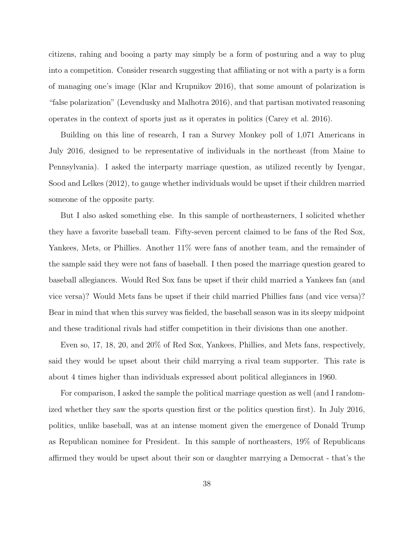citizens, rahing and booing a party may simply be a form of posturing and a way to plug into a competition. Consider research suggesting that affiliating or not with a party is a form of managing one's image (Klar and Krupnikov 2016), that some amount of polarization is "false polarization" (Levendusky and Malhotra 2016), and that partisan motivated reasoning operates in the context of sports just as it operates in politics (Carey et al. 2016).

Building on this line of research, I ran a Survey Monkey poll of 1,071 Americans in July 2016, designed to be representative of individuals in the northeast (from Maine to Pennsylvania). I asked the interparty marriage question, as utilized recently by Iyengar, Sood and Lelkes (2012), to gauge whether individuals would be upset if their children married someone of the opposite party.

But I also asked something else. In this sample of northeasterners, I solicited whether they have a favorite baseball team. Fifty-seven percent claimed to be fans of the Red Sox, Yankees, Mets, or Phillies. Another  $11\%$  were fans of another team, and the remainder of the sample said they were not fans of baseball. I then posed the marriage question geared to baseball allegiances. Would Red Sox fans be upset if their child married a Yankees fan (and vice versa)? Would Mets fans be upset if their child married Phillies fans (and vice versa)? Bear in mind that when this survey was fielded, the baseball season was in its sleepy midpoint and these traditional rivals had stiffer competition in their divisions than one another.

Even so, 17, 18, 20, and 20% of Red Sox, Yankees, Phillies, and Mets fans, respectively, said they would be upset about their child marrying a rival team supporter. This rate is about 4 times higher than individuals expressed about political allegiances in 1960.

For comparison, I asked the sample the political marriage question as well (and I randomized whether they saw the sports question first or the politics question first). In July 2016, politics, unlike baseball, was at an intense moment given the emergence of Donald Trump as Republican nominee for President. In this sample of northeasters, 19% of Republicans affirmed they would be upset about their son or daughter marrying a Democrat - that's the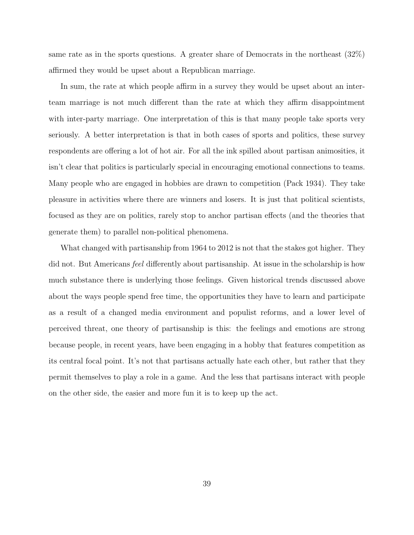same rate as in the sports questions. A greater share of Democrats in the northeast (32%) affirmed they would be upset about a Republican marriage.

In sum, the rate at which people affirm in a survey they would be upset about an interteam marriage is not much different than the rate at which they affirm disappointment with inter-party marriage. One interpretation of this is that many people take sports very seriously. A better interpretation is that in both cases of sports and politics, these survey respondents are offering a lot of hot air. For all the ink spilled about partisan animosities, it isn't clear that politics is particularly special in encouraging emotional connections to teams. Many people who are engaged in hobbies are drawn to competition (Pack 1934). They take pleasure in activities where there are winners and losers. It is just that political scientists, focused as they are on politics, rarely stop to anchor partisan effects (and the theories that generate them) to parallel non-political phenomena.

What changed with partisanship from 1964 to 2012 is not that the stakes got higher. They did not. But Americans feel differently about partisanship. At issue in the scholarship is how much substance there is underlying those feelings. Given historical trends discussed above about the ways people spend free time, the opportunities they have to learn and participate as a result of a changed media environment and populist reforms, and a lower level of perceived threat, one theory of partisanship is this: the feelings and emotions are strong because people, in recent years, have been engaging in a hobby that features competition as its central focal point. It's not that partisans actually hate each other, but rather that they permit themselves to play a role in a game. And the less that partisans interact with people on the other side, the easier and more fun it is to keep up the act.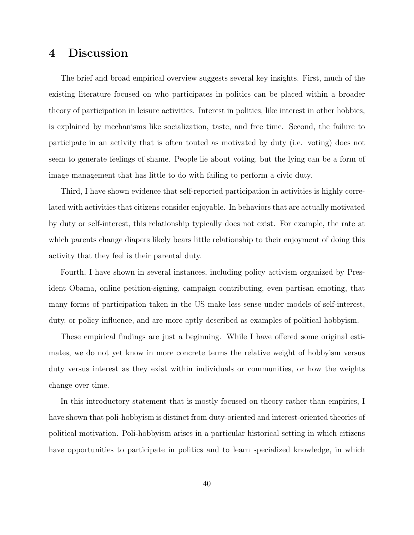## 4 Discussion

The brief and broad empirical overview suggests several key insights. First, much of the existing literature focused on who participates in politics can be placed within a broader theory of participation in leisure activities. Interest in politics, like interest in other hobbies, is explained by mechanisms like socialization, taste, and free time. Second, the failure to participate in an activity that is often touted as motivated by duty (i.e. voting) does not seem to generate feelings of shame. People lie about voting, but the lying can be a form of image management that has little to do with failing to perform a civic duty.

Third, I have shown evidence that self-reported participation in activities is highly correlated with activities that citizens consider enjoyable. In behaviors that are actually motivated by duty or self-interest, this relationship typically does not exist. For example, the rate at which parents change diapers likely bears little relationship to their enjoyment of doing this activity that they feel is their parental duty.

Fourth, I have shown in several instances, including policy activism organized by President Obama, online petition-signing, campaign contributing, even partisan emoting, that many forms of participation taken in the US make less sense under models of self-interest, duty, or policy influence, and are more aptly described as examples of political hobbyism.

These empirical findings are just a beginning. While I have offered some original estimates, we do not yet know in more concrete terms the relative weight of hobbyism versus duty versus interest as they exist within individuals or communities, or how the weights change over time.

In this introductory statement that is mostly focused on theory rather than empirics, I have shown that poli-hobbyism is distinct from duty-oriented and interest-oriented theories of political motivation. Poli-hobbyism arises in a particular historical setting in which citizens have opportunities to participate in politics and to learn specialized knowledge, in which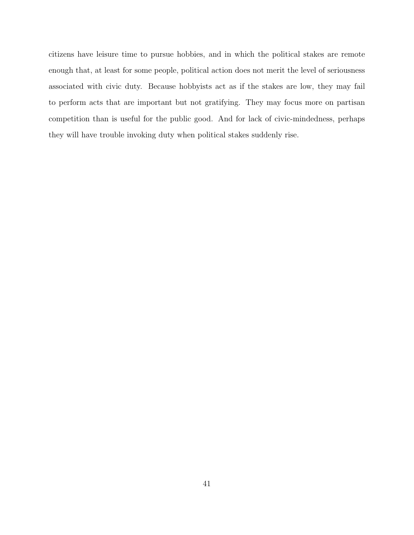citizens have leisure time to pursue hobbies, and in which the political stakes are remote enough that, at least for some people, political action does not merit the level of seriousness associated with civic duty. Because hobbyists act as if the stakes are low, they may fail to perform acts that are important but not gratifying. They may focus more on partisan competition than is useful for the public good. And for lack of civic-mindedness, perhaps they will have trouble invoking duty when political stakes suddenly rise.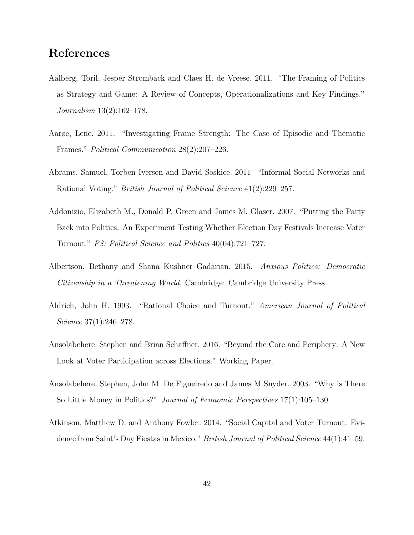## References

- Aalberg, Toril, Jesper Stromback and Claes H. de Vreese. 2011. "The Framing of Politics as Strategy and Game: A Review of Concepts, Operationalizations and Key Findings." Journalism 13(2):162–178.
- Aarøe, Lene. 2011. "Investigating Frame Strength: The Case of Episodic and Thematic Frames." Political Communication 28(2):207–226.
- Abrams, Samuel, Torben Iversen and David Soskice. 2011. "Informal Social Networks and Rational Voting." British Journal of Political Science 41(2):229–257.
- Addonizio, Elizabeth M., Donald P. Green and James M. Glaser. 2007. "Putting the Party Back into Politics: An Experiment Testing Whether Election Day Festivals Increase Voter Turnout." PS: Political Science and Politics 40(04):721–727.
- Albertson, Bethany and Shana Kushner Gadarian. 2015. Anxious Politics: Democratic Citizenship in a Threatening World. Cambridge: Cambridge University Press.
- Aldrich, John H. 1993. "Rational Choice and Turnout." American Journal of Political Science 37(1):246–278.
- Ansolabehere, Stephen and Brian Schaffner. 2016. "Beyond the Core and Periphery: A New Look at Voter Participation across Elections." Working Paper.
- Ansolabehere, Stephen, John M. De Figueiredo and James M Snyder. 2003. "Why is There So Little Money in Politics?" Journal of Economic Perspectives 17(1):105–130.
- Atkinson, Matthew D. and Anthony Fowler. 2014. "Social Capital and Voter Turnout: Evidenec from Saint's Day Fiestas in Mexico." British Journal of Political Science 44(1):41-59.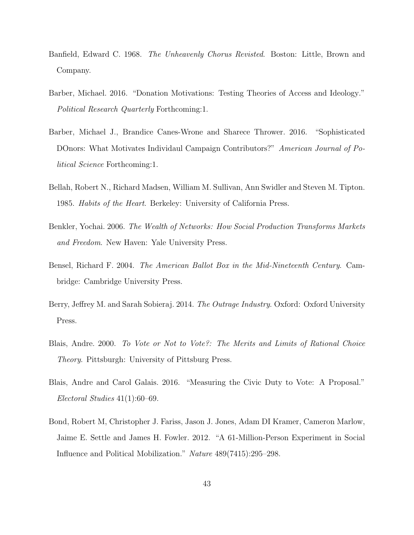- Banfield, Edward C. 1968. The Unheavenly Chorus Revisted. Boston: Little, Brown and Company.
- Barber, Michael. 2016. "Donation Motivations: Testing Theories of Access and Ideology." Political Research Quarterly Forthcoming:1.
- Barber, Michael J., Brandice Canes-Wrone and Sharece Thrower. 2016. "Sophisticated DOnors: What Motivates Individaul Campaign Contributors?" American Journal of Political Science Forthcoming:1.
- Bellah, Robert N., Richard Madsen, William M. Sullivan, Ann Swidler and Steven M. Tipton. 1985. Habits of the Heart. Berkeley: University of California Press.
- Benkler, Yochai. 2006. The Wealth of Networks: How Social Production Transforms Markets and Freedom. New Haven: Yale University Press.
- Bensel, Richard F. 2004. The American Ballot Box in the Mid-Nineteenth Century. Cambridge: Cambridge University Press.
- Berry, Jeffrey M. and Sarah Sobieraj. 2014. *The Outrage Industry*. Oxford: Oxford University Press.
- Blais, Andre. 2000. To Vote or Not to Vote?: The Merits and Limits of Rational Choice Theory. Pittsburgh: University of Pittsburg Press.
- Blais, Andre and Carol Galais. 2016. "Measuring the Civic Duty to Vote: A Proposal." Electoral Studies 41(1):60–69.
- Bond, Robert M, Christopher J. Fariss, Jason J. Jones, Adam DI Kramer, Cameron Marlow, Jaime E. Settle and James H. Fowler. 2012. "A 61-Million-Person Experiment in Social Influence and Political Mobilization." Nature 489(7415):295–298.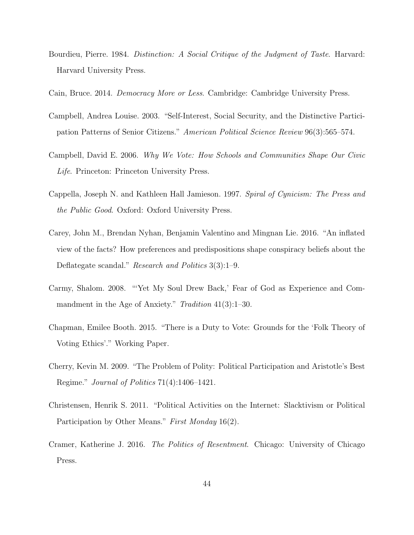- Bourdieu, Pierre. 1984. Distinction: A Social Critique of the Judgment of Taste. Harvard: Harvard University Press.
- Cain, Bruce. 2014. Democracy More or Less. Cambridge: Cambridge University Press.
- Campbell, Andrea Louise. 2003. "Self-Interest, Social Security, and the Distinctive Participation Patterns of Senior Citizens." American Political Science Review 96(3):565–574.
- Campbell, David E. 2006. Why We Vote: How Schools and Communities Shape Our Civic Life. Princeton: Princeton University Press.
- Cappella, Joseph N. and Kathleen Hall Jamieson. 1997. Spiral of Cynicism: The Press and the Public Good. Oxford: Oxford University Press.
- Carey, John M., Brendan Nyhan, Benjamin Valentino and Mingnan Lie. 2016. "An inflated view of the facts? How preferences and predispositions shape conspiracy beliefs about the Deflategate scandal." Research and Politics 3(3):1–9.
- Carmy, Shalom. 2008. "'Yet My Soul Drew Back,' Fear of God as Experience and Commandment in the Age of Anxiety." Tradition 41(3):1–30.
- Chapman, Emilee Booth. 2015. "There is a Duty to Vote: Grounds for the 'Folk Theory of Voting Ethics'." Working Paper.
- Cherry, Kevin M. 2009. "The Problem of Polity: Political Participation and Aristotle's Best Regime." Journal of Politics 71(4):1406–1421.
- Christensen, Henrik S. 2011. "Political Activities on the Internet: Slacktivism or Political Participation by Other Means." First Monday 16(2).
- Cramer, Katherine J. 2016. The Politics of Resentment. Chicago: University of Chicago Press.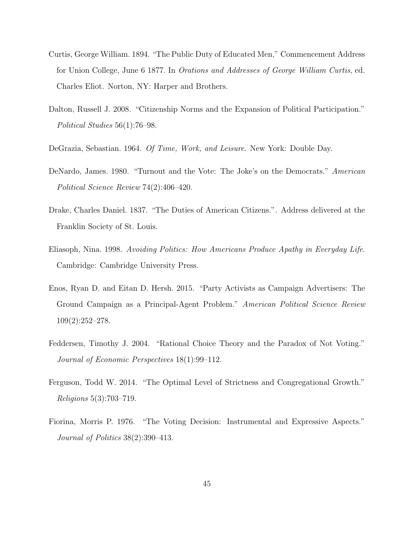- Curtis, George William. 1894. "The Public Duty of Educated Men," Commencement Address for Union College, June 6 1877. In Orations and Addresses of George William Curtis, ed. Charles Eliot. Norton, NY: Harper and Brothers.
- Dalton, Russell J. 2008. "Citizenship Norms and the Expansion of Political Participation." Political Studies 56(1):76–98.
- DeGrazia, Sebastian. 1964. Of Time, Work, and Leisure. New York: Double Day.
- DeNardo, James. 1980. "Turnout and the Vote: The Joke's on the Democrats." American Political Science Review 74(2):406–420.
- Drake, Charles Daniel. 1837. "The Duties of American Citizens.". Address delivered at the Franklin Society of St. Louis.
- Eliasoph, Nina. 1998. Avoiding Politics: How Americans Produce Apathy in Everyday Life. Cambridge: Cambridge University Press.
- Enos, Ryan D. and Eitan D. Hersh. 2015. "Party Activists as Campaign Advertisers: The Ground Campaign as a Principal-Agent Problem." American Political Science Review 109(2):252–278.
- Feddersen, Timothy J. 2004. "Rational Choice Theory and the Paradox of Not Voting." Journal of Economic Perspectives 18(1):99–112.
- Ferguson, Todd W. 2014. "The Optimal Level of Strictness and Congregational Growth." Religions 5(3):703–719.
- Fiorina, Morris P. 1976. "The Voting Decision: Instrumental and Expressive Aspects." Journal of Politics 38(2):390–413.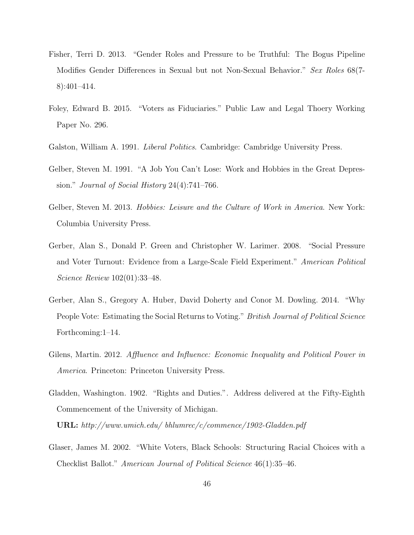- Fisher, Terri D. 2013. "Gender Roles and Pressure to be Truthful: The Bogus Pipeline Modifies Gender Differences in Sexual but not Non-Sexual Behavior." Sex Roles 68(7- 8):401–414.
- Foley, Edward B. 2015. "Voters as Fiduciaries." Public Law and Legal Thoery Working Paper No. 296.
- Galston, William A. 1991. *Liberal Politics*. Cambridge: Cambridge University Press.
- Gelber, Steven M. 1991. "A Job You Can't Lose: Work and Hobbies in the Great Depression." Journal of Social History 24(4):741–766.
- Gelber, Steven M. 2013. *Hobbies: Leisure and the Culture of Work in America*. New York: Columbia University Press.
- Gerber, Alan S., Donald P. Green and Christopher W. Larimer. 2008. "Social Pressure and Voter Turnout: Evidence from a Large-Scale Field Experiment." American Political Science Review 102(01):33–48.
- Gerber, Alan S., Gregory A. Huber, David Doherty and Conor M. Dowling. 2014. "Why People Vote: Estimating the Social Returns to Voting." *British Journal of Political Science* Forthcoming:1–14.
- Gilens, Martin. 2012. Affluence and Influence: Economic Inequality and Political Power in America. Princeton: Princeton University Press.
- Gladden, Washington. 1902. "Rights and Duties.". Address delivered at the Fifty-Eighth Commencement of the University of Michigan.

URL: http://www.umich.edu/ bhlumrec/c/commence/1902-Gladden.pdf

Glaser, James M. 2002. "White Voters, Black Schools: Structuring Racial Choices with a Checklist Ballot." American Journal of Political Science 46(1):35–46.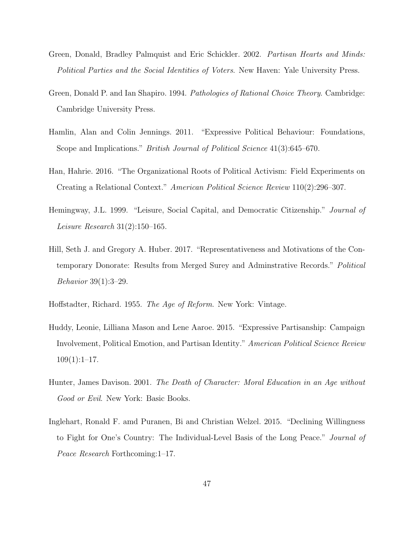- Green, Donald, Bradley Palmquist and Eric Schickler. 2002. Partisan Hearts and Minds: Political Parties and the Social Identities of Voters. New Haven: Yale University Press.
- Green, Donald P. and Ian Shapiro. 1994. Pathologies of Rational Choice Theory. Cambridge: Cambridge University Press.
- Hamlin, Alan and Colin Jennings. 2011. "Expressive Political Behaviour: Foundations, Scope and Implications." *British Journal of Political Science* 41(3):645–670.
- Han, Hahrie. 2016. "The Organizational Roots of Political Activism: Field Experiments on Creating a Relational Context." American Political Science Review 110(2):296–307.
- Hemingway, J.L. 1999. "Leisure, Social Capital, and Democratic Citizenship." Journal of Leisure Research 31(2):150–165.
- Hill, Seth J. and Gregory A. Huber. 2017. "Representativeness and Motivations of the Contemporary Donorate: Results from Merged Surey and Adminstrative Records." Political Behavior 39(1):3–29.
- Hoffstadter, Richard. 1955. The Age of Reform. New York: Vintage.
- Huddy, Leonie, Lilliana Mason and Lene Aaroe. 2015. "Expressive Partisanship: Campaign Involvement, Political Emotion, and Partisan Identity." American Political Science Review  $109(1):1-17.$
- Hunter, James Davison. 2001. The Death of Character: Moral Education in an Age without Good or Evil. New York: Basic Books.
- Inglehart, Ronald F. amd Puranen, Bi and Christian Welzel. 2015. "Declining Willingness to Fight for One's Country: The Individual-Level Basis of the Long Peace." Journal of Peace Research Forthcoming:1–17.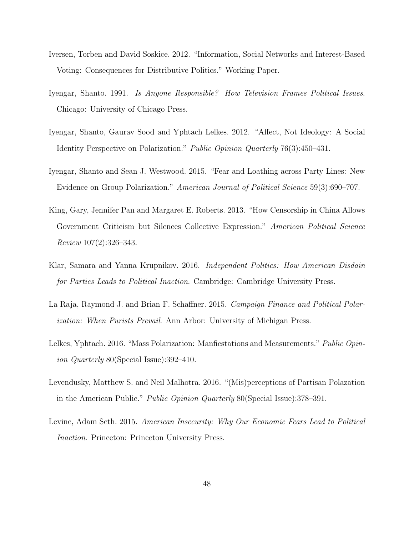- Iversen, Torben and David Soskice. 2012. "Information, Social Networks and Interest-Based Voting: Consequences for Distributive Politics." Working Paper.
- Iyengar, Shanto. 1991. Is Anyone Responsible? How Television Frames Political Issues. Chicago: University of Chicago Press.
- Iyengar, Shanto, Gaurav Sood and Yphtach Lelkes. 2012. "Affect, Not Ideology: A Social Identity Perspective on Polarization." Public Opinion Quarterly 76(3):450–431.
- Iyengar, Shanto and Sean J. Westwood. 2015. "Fear and Loathing across Party Lines: New Evidence on Group Polarization." American Journal of Political Science 59(3):690–707.
- King, Gary, Jennifer Pan and Margaret E. Roberts. 2013. "How Censorship in China Allows Government Criticism but Silences Collective Expression." American Political Science Review 107(2):326–343.
- Klar, Samara and Yanna Krupnikov. 2016. Independent Politics: How American Disdain for Parties Leads to Political Inaction. Cambridge: Cambridge University Press.
- La Raja, Raymond J. and Brian F. Schaffner. 2015. Campaign Finance and Political Polarization: When Purists Prevail. Ann Arbor: University of Michigan Press.
- Lelkes, Yphtach. 2016. "Mass Polarization: Manfiestations and Measurements." Public Opinion Quarterly 80(Special Issue):392–410.
- Levendusky, Matthew S. and Neil Malhotra. 2016. "(Mis)perceptions of Partisan Polazation in the American Public." Public Opinion Quarterly 80(Special Issue):378–391.
- Levine, Adam Seth. 2015. American Insecurity: Why Our Economic Fears Lead to Political Inaction. Princeton: Princeton University Press.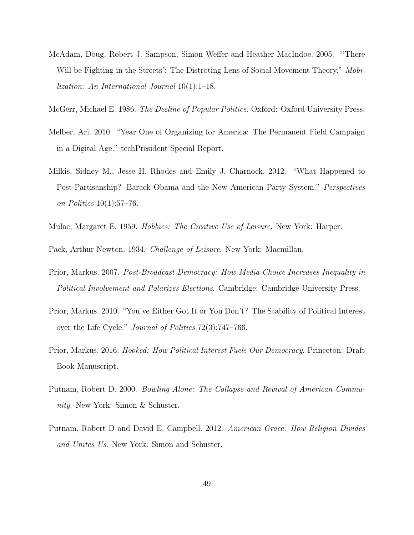- McAdam, Doug, Robert J. Sampson, Simon Weffer and Heather MacIndoe. 2005. "'There Will be Fighting in the Streets': The Distroting Lens of Social Movement Theory." Mobilization: An International Journal 10(1):1–18.
- McGerr, Michael E. 1986. The Decline of Popular Politics. Oxford: Oxford University Press.
- Melber, Ari. 2010. "Year One of Organizing for America: The Permanent Field Campaign in a Digital Age." techPresident Special Report.
- Milkis, Sidney M., Jesse H. Rhodes and Emily J. Charnock. 2012. "What Happened to Post-Partisanship? Barack Obama and the New American Party System." Perspectives on Politics 10(1):57–76.
- Mulac, Margaret E. 1959. Hobbies: The Creative Use of Leisure. New York: Harper.

Pack, Arthur Newton. 1934. Challenge of Leisure. New York: Macmillan.

- Prior, Markus. 2007. Post-Broadcast Democracy: How Media Choice Increases Inequality in Political Involvement and Polarizes Elections. Cambridge: Cambridge University Press.
- Prior, Markus. 2010. "You've Either Got It or You Don't? The Stability of Political Interest over the Life Cycle." Journal of Politics 72(3):747–766.
- Prior, Markus. 2016. Hooked: How Political Interest Fuels Our Democracy. Princeton: Draft Book Manuscript.
- Putnam, Robert D. 2000. Bowling Alone: The Collapse and Revival of American Community. New York: Simon & Schuster.
- Putnam, Robert D and David E. Campbell. 2012. American Grace: How Religion Divides and Unites Us. New York: Simon and Schuster.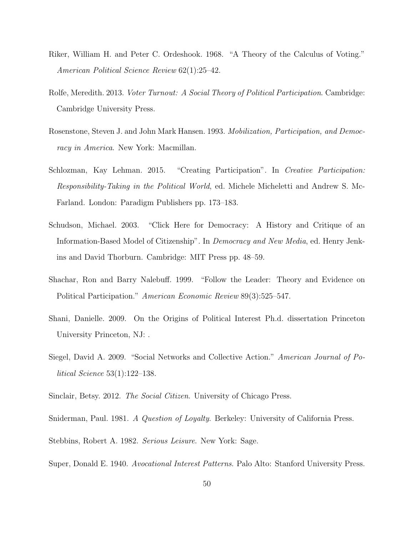- Riker, William H. and Peter C. Ordeshook. 1968. "A Theory of the Calculus of Voting." American Political Science Review 62(1):25–42.
- Rolfe, Meredith. 2013. *Voter Turnout: A Social Theory of Political Participation*. Cambridge: Cambridge University Press.
- Rosenstone, Steven J. and John Mark Hansen. 1993. Mobilization, Participation, and Democracy in America. New York: Macmillan.
- Schlozman, Kay Lehman. 2015. "Creating Participation". In Creative Participation: Responsibility-Taking in the Political World, ed. Michele Micheletti and Andrew S. Mc-Farland. London: Paradigm Publishers pp. 173–183.
- Schudson, Michael. 2003. "Click Here for Democracy: A History and Critique of an Information-Based Model of Citizenship". In Democracy and New Media, ed. Henry Jenkins and David Thorburn. Cambridge: MIT Press pp. 48–59.
- Shachar, Ron and Barry Nalebuff. 1999. "Follow the Leader: Theory and Evidence on Political Participation." American Economic Review 89(3):525–547.
- Shani, Danielle. 2009. On the Origins of Political Interest Ph.d. dissertation Princeton University Princeton, NJ: .
- Siegel, David A. 2009. "Social Networks and Collective Action." American Journal of Political Science 53(1):122–138.
- Sinclair, Betsy. 2012. The Social Citizen. University of Chicago Press.
- Sniderman, Paul. 1981. A Question of Loyalty. Berkeley: University of California Press.
- Stebbins, Robert A. 1982. Serious Leisure. New York: Sage.
- Super, Donald E. 1940. Avocational Interest Patterns. Palo Alto: Stanford University Press.